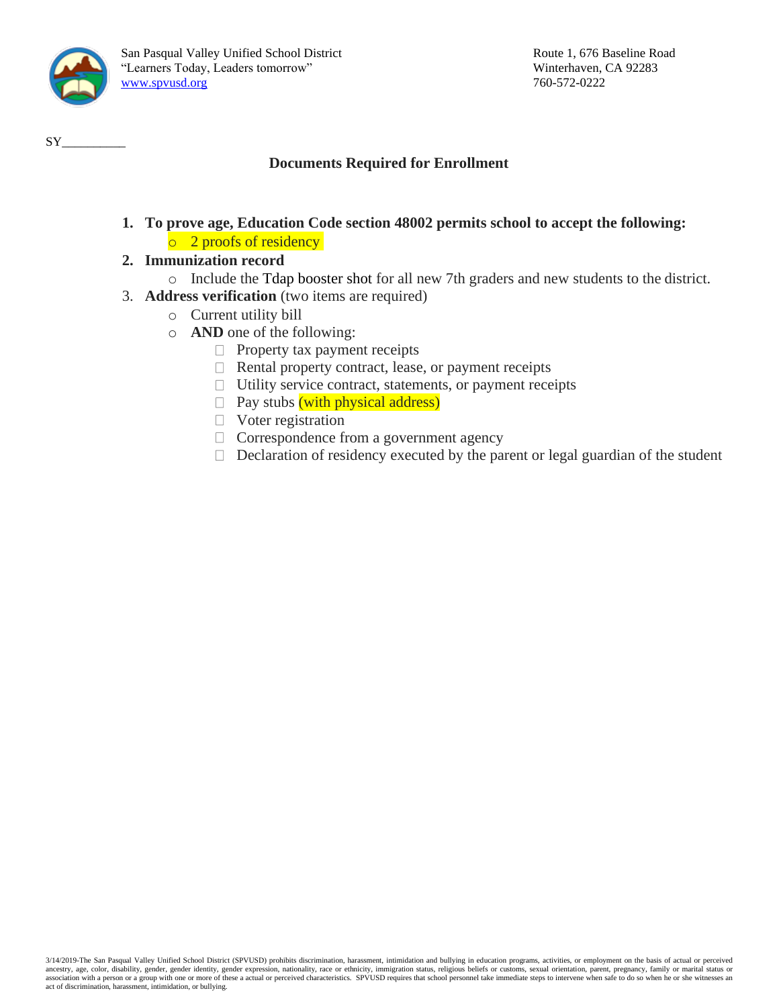

### **Documents Required for Enrollment**

- **1. To prove age, Education Code section 48002 permits school to accept the following:** o 2 proofs of residency
- **2. Immunization record**
	- o Include the Tdap booster shot for all new 7th graders and new students to the district.
- 3. **Address verification** (two items are required)
	- o Current utility bill
	- o **AND** one of the following:
		- $\Box$  Property tax payment receipts
		- $\Box$  Rental property contract, lease, or payment receipts
		- $\Box$  Utility service contract, statements, or payment receipts
		- $\Box$  Pay stubs (with physical address)
		- $\Box$  Voter registration
		- □ Correspondence from a government agency
		- $\Box$  Declaration of residency executed by the parent or legal guardian of the student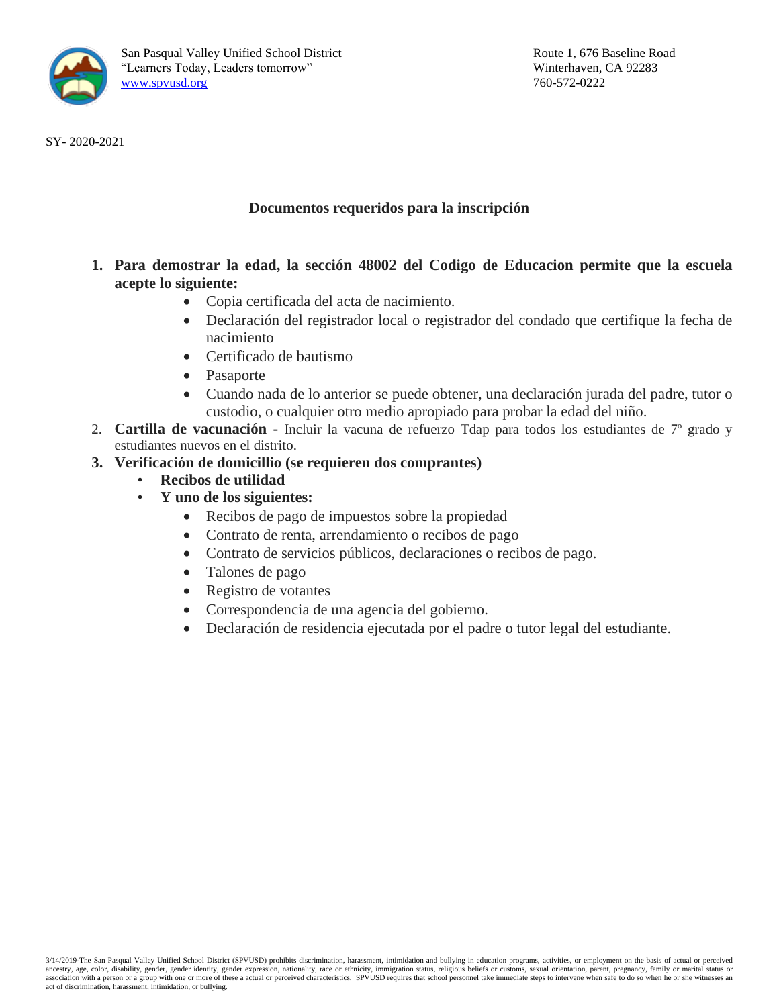

SY- 2020-2021

### **Documentos requeridos para la inscripción**

- **1. Para demostrar la edad, la sección 48002 del Codigo de Educacion permite que la escuela acepte lo siguiente:**
	- Copia certificada del acta de nacimiento.
	- Declaración del registrador local o registrador del condado que certifique la fecha de nacimiento
	- Certificado de bautismo
	- Pasaporte
	- Cuando nada de lo anterior se puede obtener, una declaración jurada del padre, tutor o custodio, o cualquier otro medio apropiado para probar la edad del niño.
- 2. **Cartilla de vacunación -** Incluir la vacuna de refuerzo Tdap para todos los estudiantes de 7º grado y estudiantes nuevos en el distrito.
- **3. Verificación de domicillio (se requieren dos comprantes)**
	- **Recibos de utilidad** 
		- **Y uno de los siguientes:**
			- Recibos de pago de impuestos sobre la propiedad
			- Contrato de renta, arrendamiento o recibos de pago
			- Contrato de servicios públicos, declaraciones o recibos de pago.
			- Talones de pago
			- Registro de votantes
			- Correspondencia de una agencia del gobierno.
			- Declaración de residencia ejecutada por el padre o tutor legal del estudiante.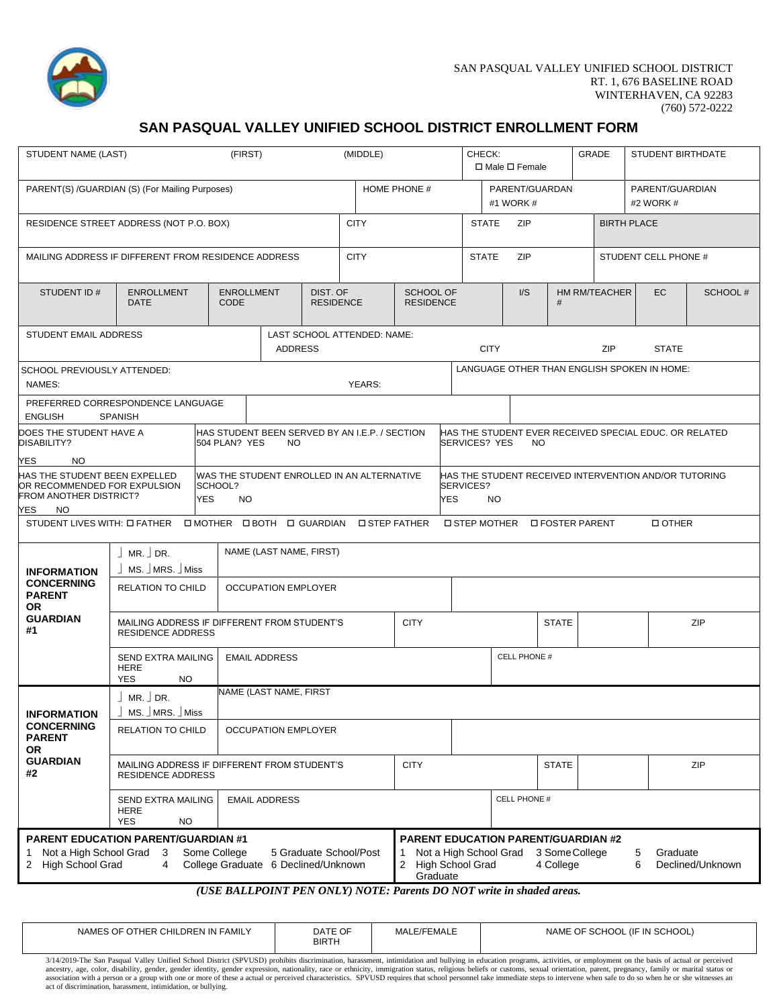

### **SAN PASQUAL VALLEY UNIFIED SCHOOL DISTRICT ENROLLMENT FORM**

| (FIRST)<br>STUDENT NAME (LAST)                                                                                                                                                                                |                                                                                                      |               | (MIDDLE)                            |                                      |                                                |                                                                                   | CHECK:<br><b>GRADE</b><br><b>STUDENT BIRTHDATE</b><br>$\Box$ Male $\Box$ Female |   |                                             |                              |                                                       |                |                                                        |                  |
|---------------------------------------------------------------------------------------------------------------------------------------------------------------------------------------------------------------|------------------------------------------------------------------------------------------------------|---------------|-------------------------------------|--------------------------------------|------------------------------------------------|-----------------------------------------------------------------------------------|---------------------------------------------------------------------------------|---|---------------------------------------------|------------------------------|-------------------------------------------------------|----------------|--------------------------------------------------------|------------------|
| PARENT(S) /GUARDIAN (S) (For Mailing Purposes)                                                                                                                                                                |                                                                                                      |               |                                     |                                      |                                                | HOME PHONE #                                                                      | PARENT/GUARDAN<br>#1 WORK #                                                     |   |                                             | PARENT/GUARDIAN<br>#2 WORK # |                                                       |                |                                                        |                  |
| RESIDENCE STREET ADDRESS (NOT P.O. BOX)                                                                                                                                                                       |                                                                                                      |               | <b>CITY</b>                         |                                      |                                                | <b>STATE</b><br><b>ZIP</b><br><b>BIRTH PLACE</b>                                  |                                                                                 |   |                                             |                              |                                                       |                |                                                        |                  |
| MAILING ADDRESS IF DIFFERENT FROM RESIDENCE ADDRESS                                                                                                                                                           |                                                                                                      |               |                                     |                                      | <b>CITY</b>                                    |                                                                                   |                                                                                 |   | <b>STATE</b><br>ZIP<br>STUDENT CELL PHONE # |                              |                                                       |                |                                                        |                  |
| STUDENT ID#                                                                                                                                                                                                   | DIST. OF<br><b>ENROLLMENT</b><br><b>ENROLLMENT</b><br><b>DATE</b><br><b>CODE</b><br><b>RESIDENCE</b> |               |                                     | <b>SCHOOL OF</b><br><b>RESIDENCE</b> |                                                |                                                                                   | I/S                                                                             | # |                                             | <b>HM RM/TEACHER</b>         | EC                                                    | <b>SCHOOL#</b> |                                                        |                  |
| STUDENT EMAIL ADDRESS                                                                                                                                                                                         |                                                                                                      |               | <b>ADDRESS</b>                      |                                      | LAST SCHOOL ATTENDED: NAME:                    |                                                                                   |                                                                                 |   | <b>CITY</b>                                 |                              |                                                       | <b>ZIP</b>     | <b>STATE</b>                                           |                  |
| SCHOOL PREVIOUSLY ATTENDED:<br>NAMES:                                                                                                                                                                         |                                                                                                      |               |                                     |                                      | YEARS:                                         |                                                                                   |                                                                                 |   |                                             |                              |                                                       |                | LANGUAGE OTHER THAN ENGLISH SPOKEN IN HOME:            |                  |
| PREFERRED CORRESPONDENCE LANGUAGE<br><b>ENGLISH</b>                                                                                                                                                           | <b>SPANISH</b>                                                                                       |               |                                     |                                      |                                                |                                                                                   |                                                                                 |   |                                             |                              |                                                       |                |                                                        |                  |
| DOES THE STUDENT HAVE A<br>DISABILITY?                                                                                                                                                                        |                                                                                                      | 504 PLAN? YES | NO.                                 |                                      | HAS STUDENT BEEN SERVED BY AN I.E.P. / SECTION |                                                                                   |                                                                                 |   | <b>SERVICES? YES</b>                        | NO.                          |                                                       |                | HAS THE STUDENT EVER RECEIVED SPECIAL EDUC. OR RELATED |                  |
| YES<br>NO.<br>HAS THE STUDENT BEEN EXPELLED<br>WAS THE STUDENT ENROLLED IN AN ALTERNATIVE<br>SCHOOL?<br>OR RECOMMENDED FOR EXPULSION<br>FROM ANOTHER DISTRICT?<br><b>YES</b><br><b>NO</b><br>YES<br><b>NO</b> |                                                                                                      |               |                                     |                                      | <b>YES</b>                                     | SERVICES?                                                                         | <b>NO</b>                                                                       |   |                                             |                              | HAS THE STUDENT RECEIVED INTERVENTION AND/OR TUTORING |                |                                                        |                  |
| STUDENT LIVES WITH: LIFATHER                                                                                                                                                                                  |                                                                                                      |               |                                     |                                      | □ MOTHER □ BOTH □ GUARDIAN □ STEP FATHER       |                                                                                   |                                                                                 |   | <b>O STEP MOTHER</b>                        | <b>D FOSTER PARENT</b>       |                                                       |                | <b>DOTHER</b>                                          |                  |
| <b>INFORMATION</b>                                                                                                                                                                                            | $MR.$ DR.<br>MS. MRS. Miss                                                                           |               | NAME (LAST NAME, FIRST)             |                                      |                                                |                                                                                   |                                                                                 |   |                                             |                              |                                                       |                |                                                        |                  |
| <b>CONCERNING</b><br><b>PARENT</b><br><b>OR</b>                                                                                                                                                               | <b>RELATION TO CHILD</b>                                                                             |               | <b>OCCUPATION EMPLOYER</b>          |                                      |                                                |                                                                                   |                                                                                 |   |                                             |                              |                                                       |                |                                                        |                  |
| <b>GUARDIAN</b><br>#1                                                                                                                                                                                         | MAILING ADDRESS IF DIFFERENT FROM STUDENT'S<br><b>RESIDENCE ADDRESS</b>                              |               |                                     |                                      |                                                | <b>CITY</b>                                                                       |                                                                                 |   |                                             | <b>STATE</b>                 |                                                       |                |                                                        | ZIP              |
|                                                                                                                                                                                                               | SEND EXTRA MAILING<br><b>HERE</b><br><b>YES</b><br><b>NO</b>                                         |               | <b>EMAIL ADDRESS</b>                |                                      |                                                |                                                                                   |                                                                                 |   | CELL PHONE #                                |                              |                                                       |                |                                                        |                  |
| <b>INFORMATION</b>                                                                                                                                                                                            | $MR.$ DR.<br>MS. MRS. Miss                                                                           |               | NAME (LAST NAME, FIRST              |                                      |                                                |                                                                                   |                                                                                 |   |                                             |                              |                                                       |                |                                                        |                  |
| <b>CONCERNING</b><br><b>PARENT</b><br>OR                                                                                                                                                                      | <b>RELATION TO CHILD</b>                                                                             |               | <b>OCCUPATION EMPLOYER</b>          |                                      |                                                |                                                                                   |                                                                                 |   |                                             |                              |                                                       |                |                                                        |                  |
| <b>GUARDIAN</b><br>#2                                                                                                                                                                                         | MAILING ADDRESS IF DIFFERENT FROM STUDENT'S<br><b>RESIDENCE ADDRESS</b>                              |               |                                     |                                      |                                                | <b>CITY</b>                                                                       |                                                                                 |   |                                             | <b>STATE</b>                 |                                                       |                |                                                        | ZIP              |
|                                                                                                                                                                                                               | SEND EXTRA MAILING<br><b>HERE</b><br><b>YES</b><br><b>NO</b>                                         |               | <b>EMAIL ADDRESS</b>                |                                      |                                                |                                                                                   |                                                                                 |   | <b>CELL PHONE #</b>                         |                              |                                                       |                |                                                        |                  |
| <b>PARENT EDUCATION PARENT/GUARDIAN #1</b><br>Not a High School Grad 3<br>1<br>2 High School Grad                                                                                                             | 4                                                                                                    | Some College  | College Graduate 6 Declined/Unknown |                                      | 5 Graduate School/Post                         | <b>PARENT EDUCATION PARENT/GUARDIAN #2</b><br>1<br>2 High School Grad<br>Graduate |                                                                                 |   | Not a High School Grad 3 Some College       | 4 College                    |                                                       |                | 5<br>Graduate<br>6                                     | Declined/Unknown |

#### *(USE BALLPOINT PEN ONLY) NOTE: Parents DO NOT write in shaded areas.*

| OF 0<br>F OTHER CHILDREN IN FAMILY<br><b>NAMES</b> | DATE OF<br><b>BIRTH</b> | MALE/FEMAL | . (IF IN SCHOOL)<br>`OF SCHOOL<br><b>NAME</b> |
|----------------------------------------------------|-------------------------|------------|-----------------------------------------------|

3/14/2019-The San Pasqual Valley Unified School District (SPVUSD) prohibits discrimination, harassment, intimidation and bullying in education programs, activities, or employment on the basis of actual or perceived<br>ancestr act of discrimination, harassment, intimidation, or bullying.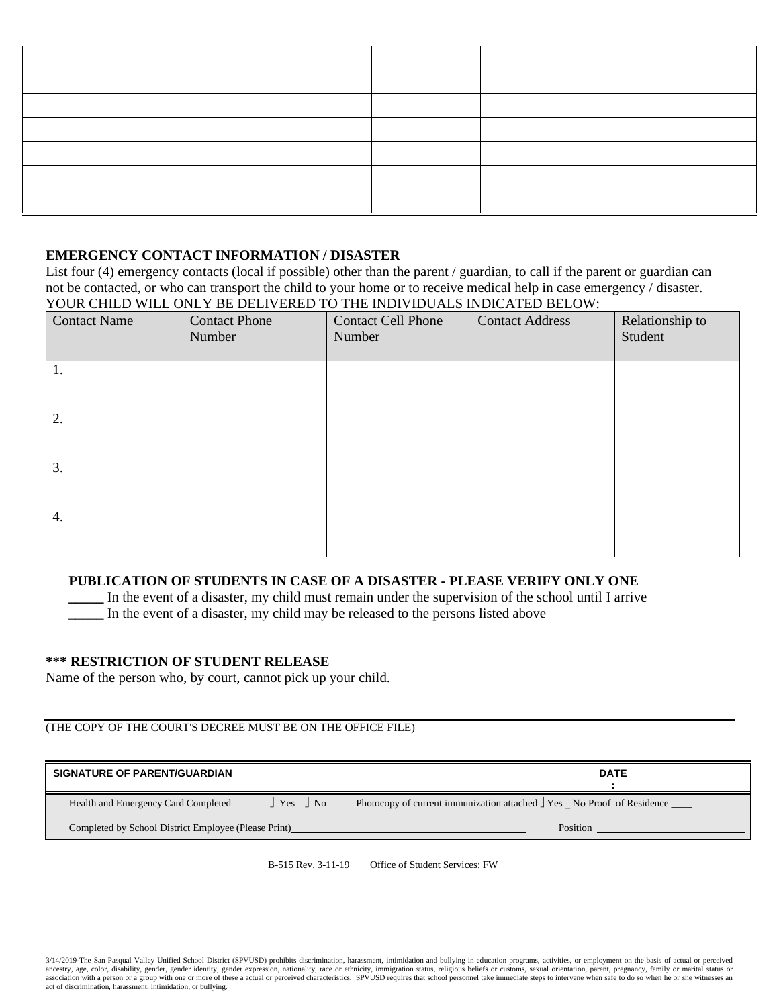#### **EMERGENCY CONTACT INFORMATION / DISASTER**

List four (4) emergency contacts (local if possible) other than the parent / guardian, to call if the parent or guardian can not be contacted, or who can transport the child to your home or to receive medical help in case emergency / disaster. YOUR CHILD WILL ONLY BE DELIVERED TO THE INDIVIDUALS INDICATED BELOW:

| <b>Contact Name</b> | <b>Contact Phone</b><br>Number | <b>Contact Cell Phone</b><br>Number | <b>Contact Address</b> | Relationship to<br>Student |
|---------------------|--------------------------------|-------------------------------------|------------------------|----------------------------|
| 1.                  |                                |                                     |                        |                            |
| 2.                  |                                |                                     |                        |                            |
| 3.                  |                                |                                     |                        |                            |
| 4.                  |                                |                                     |                        |                            |

### **PUBLICATION OF STUDENTS IN CASE OF A DISASTER - PLEASE VERIFY ONLY ONE**

In the event of a disaster, my child must remain under the supervision of the school until I arrive \_\_\_\_\_ In the event of a disaster, my child may be released to the persons listed above

#### **\*\*\* RESTRICTION OF STUDENT RELEASE**

Name of the person who, by court, cannot pick up your child.

### (THE COPY OF THE COURT'S DECREE MUST BE ON THE OFFICE FILE)

| <b>SIGNATURE OF PARENT/GUARDIAN</b>                  |                        | <b>DATE</b>                                                          |
|------------------------------------------------------|------------------------|----------------------------------------------------------------------|
| Health and Emergency Card Completed                  | $\vert$ Yes $\vert$ No | Photocopy of current immunization attached Tes No Proof of Residence |
| Completed by School District Employee (Please Print) |                        | Position                                                             |

B-515 Rev. 3-11-19 Office of Student Services: FW

3/14/2019-The San Pasqual Valley Unified School District (SPVUSD) prohibits discrimination, harassment, intimidation and bullying in education programs, activities, or employment on the basis of actual or perceived ancestry, age, color, disability, gender, gender identity, gender expression, nationality, race or ethnicity, immigration status, religious beliefs or customs, sexual orientation, parent, pregnancy, family or marital statu act of discrimination, harassment, intimidation, or bullying.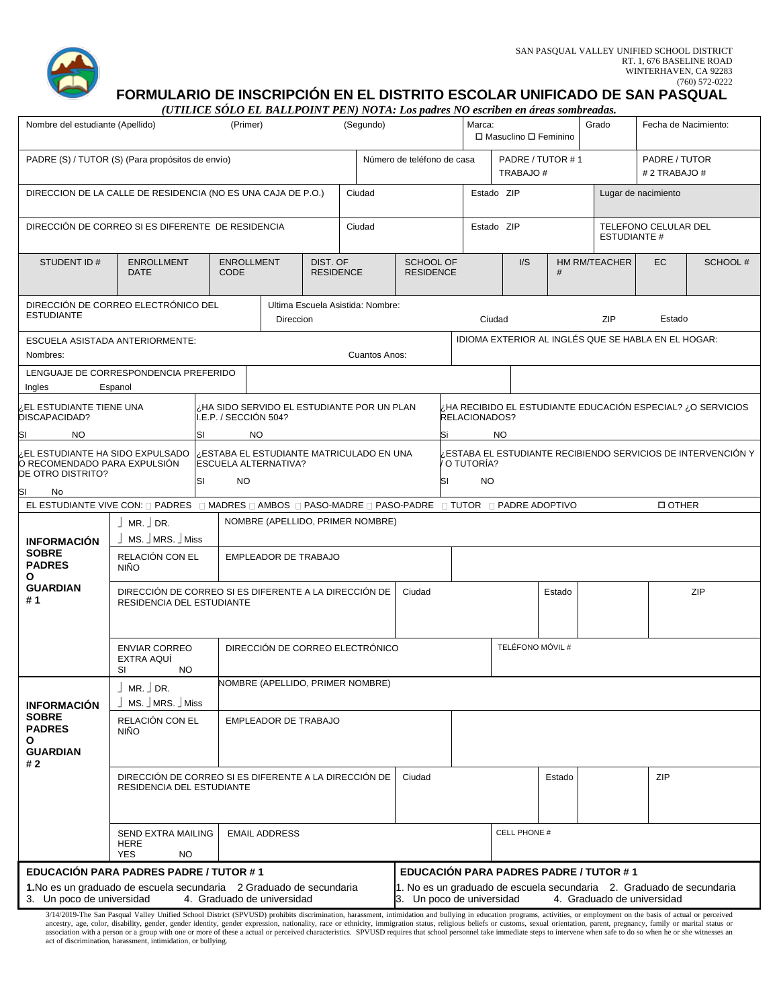

**FORMULARIO DE INSCRIPCIÓN EN EL DISTRITO ESCOLAR UNIFICADO DE SAN PASQUAL**

*(UTILICE SÓLO EL BALLPOINT PEN) NOTA: Los padres NO escriben en áreas sombreadas.*

| Nombre del estudiante (Apellido)                                                                     |                                                                                                                                                                                                                        | (Primer)                                                                                                                                |                             |                              | (Segundo)                                 |                                      |    | Marca:                  | □ Masuclino □ Feminino       |        | Grado                                         | Fecha de Nacimiento:                                                 |                                                             |
|------------------------------------------------------------------------------------------------------|------------------------------------------------------------------------------------------------------------------------------------------------------------------------------------------------------------------------|-----------------------------------------------------------------------------------------------------------------------------------------|-----------------------------|------------------------------|-------------------------------------------|--------------------------------------|----|-------------------------|------------------------------|--------|-----------------------------------------------|----------------------------------------------------------------------|-------------------------------------------------------------|
| PADRE (S) / TUTOR (S) (Para propósitos de envío)                                                     |                                                                                                                                                                                                                        |                                                                                                                                         |                             |                              |                                           | Número de teléfono de casa           |    |                         | PADRE / TUTOR #1<br>TRABAJO# |        |                                               | PADRE / TUTOR<br># 2 TRABAJO #                                       |                                                             |
| DIRECCION DE LA CALLE DE RESIDENCIA (NO ES UNA CAJA DE P.O.)                                         |                                                                                                                                                                                                                        |                                                                                                                                         |                             |                              | Ciudad                                    |                                      |    | Estado ZIP              |                              |        |                                               | Lugar de nacimiento                                                  |                                                             |
| DIRECCIÓN DE CORREO SI ES DIFERENTE DE RESIDENCIA                                                    |                                                                                                                                                                                                                        |                                                                                                                                         |                             |                              | Ciudad                                    |                                      |    | Estado ZIP              |                              |        | <b>ESTUDIANTE #</b>                           | TELEFONO CELULAR DEL                                                 |                                                             |
| <b>STUDENT ID#</b>                                                                                   | <b>ENROLLMENT</b><br><b>DATE</b>                                                                                                                                                                                       | <b>ENROLLMENT</b><br><b>CODE</b>                                                                                                        |                             | DIST. OF<br><b>RESIDENCE</b> |                                           | <b>SCHOOL OF</b><br><b>RESIDENCE</b> |    |                         | I/S                          | #      | HM RM/TEACHER                                 | <b>EC</b>                                                            | SCHOOL #                                                    |
| DIRECCIÓN DE CORREO ELECTRÓNICO DEL<br><b>ESTUDIANTE</b>                                             |                                                                                                                                                                                                                        |                                                                                                                                         | Direccion                   |                              | Ultima Escuela Asistida: Nombre:          |                                      |    | Ciudad                  |                              |        | <b>ZIP</b>                                    | Estado                                                               |                                                             |
| ESCUELA ASISTADA ANTERIORMENTE:<br>Nombres:                                                          |                                                                                                                                                                                                                        |                                                                                                                                         |                             |                              | Cuantos Anos:                             |                                      |    |                         |                              |        |                                               | IDIOMA EXTERIOR AL INGLÉS QUE SE HABLA EN EL HOGAR:                  |                                                             |
| LENGUAJE DE CORRESPONDENCIA PREFERIDO<br>Ingles                                                      | Espanol                                                                                                                                                                                                                |                                                                                                                                         |                             |                              |                                           |                                      |    |                         |                              |        |                                               |                                                                      |                                                             |
| EL ESTUDIANTE TIENE UNA<br>DISCAPACIDAD?                                                             |                                                                                                                                                                                                                        | I.E.P. / SECCIÓN 504?                                                                                                                   |                             |                              | HA SIDO SERVIDO EL ESTUDIANTE POR UN PLAN |                                      |    | RELACIONADOS?           |                              |        |                                               |                                                                      | ¿HA RECIBIDO EL ESTUDIANTE EDUCACIÓN ESPECIAL? ¿O SERVICIOS |
| SI<br><b>NO</b>                                                                                      |                                                                                                                                                                                                                        | <b>NO</b><br>ΙSΙ<br>NO.<br>Si<br>ESTABA EL ESTUDIANTE RECIBIENDO SERVICIOS DE INTERVENCIÓN Y<br>ESTABA EL ESTUDIANTE MATRICULADO EN UNA |                             |                              |                                           |                                      |    |                         |                              |        |                                               |                                                                      |                                                             |
| ¿EL ESTUDIANTE HA SIDO EXPULSADO<br>O RECOMENDADO PARA EXPULSIÓN<br>DE OTRO DISTRITO?                |                                                                                                                                                                                                                        | <b>ESCUELA ALTERNATIVA?</b><br>SΙ<br>NO.                                                                                                |                             |                              |                                           |                                      | SI | O TUTORÍA?<br><b>NO</b> |                              |        |                                               |                                                                      |                                                             |
| SI<br>No                                                                                             |                                                                                                                                                                                                                        |                                                                                                                                         |                             |                              |                                           |                                      |    |                         |                              |        |                                               |                                                                      |                                                             |
| EL ESTUDIANTE VIVE CON: □ PADRES □ MADRES □ AMBOS □ PASO-MADRE □ PASO-PADRE □ TUTOR □ PADRE ADOPTIVO |                                                                                                                                                                                                                        |                                                                                                                                         |                             |                              |                                           |                                      |    |                         |                              |        |                                               | <b>DOTHER</b>                                                        |                                                             |
| <b>INFORMACIÓN</b>                                                                                   | $MR.$ DR.<br>MS. MRS. Miss                                                                                                                                                                                             |                                                                                                                                         |                             |                              | NOMBRE (APELLIDO, PRIMER NOMBRE)          |                                      |    |                         |                              |        |                                               |                                                                      |                                                             |
| <b>SOBRE</b><br><b>PADRES</b><br>О                                                                   | RELACIÓN CON EL<br><b>NIÑO</b>                                                                                                                                                                                         |                                                                                                                                         | EMPLEADOR DE TRABAJO        |                              |                                           |                                      |    |                         |                              |        |                                               |                                                                      |                                                             |
| <b>GUARDIAN</b><br>#1                                                                                | DIRECCIÓN DE CORREO SI ES DIFERENTE A LA DIRECCIÓN DE<br>RESIDENCIA DEL ESTUDIANTE                                                                                                                                     |                                                                                                                                         |                             |                              |                                           | Ciudad                               |    |                         |                              | Estado |                                               |                                                                      | ZIP                                                         |
|                                                                                                      | <b>ENVIAR CORREO</b><br>EXTRA AQUI<br>SI<br>NO.                                                                                                                                                                        |                                                                                                                                         |                             |                              | DIRECCIÓN DE CORREO ELECTRÓNICO           |                                      |    |                         | TELÉFONO MÓVIL #             |        |                                               |                                                                      |                                                             |
| <b>INFORMACION</b>                                                                                   | $\vert$ MR. $\vert$ DR.<br>MS. JMRS. JMiss                                                                                                                                                                             |                                                                                                                                         |                             |                              | NOMBRE (APELLIDO, PRIMER NOMBRE)          |                                      |    |                         |                              |        |                                               |                                                                      |                                                             |
| <b>SOBRE</b><br><b>PADRES</b><br>O<br><b>GUARDIAN</b><br># 2                                         | RELACIÓN CON EL<br><b>NIÑO</b>                                                                                                                                                                                         |                                                                                                                                         | <b>EMPLEADOR DE TRABAJO</b> |                              |                                           |                                      |    |                         |                              |        |                                               |                                                                      |                                                             |
|                                                                                                      | DIRECCIÓN DE CORREO SI ES DIFERENTE A LA DIRECCIÓN DE<br>RESIDENCIA DEL ESTUDIANTE                                                                                                                                     |                                                                                                                                         |                             |                              |                                           | Ciudad                               |    |                         |                              | Estado |                                               | ZIP                                                                  |                                                             |
|                                                                                                      | SEND EXTRA MAILING<br>HERE<br><b>YES</b><br><b>NO</b>                                                                                                                                                                  |                                                                                                                                         | <b>EMAIL ADDRESS</b>        |                              |                                           |                                      |    |                         | CELL PHONE #                 |        |                                               |                                                                      |                                                             |
| EDUCACIÓN PARA PADRES PADRE / TUTOR #1                                                               |                                                                                                                                                                                                                        |                                                                                                                                         |                             |                              |                                           |                                      |    |                         |                              |        | <b>EDUCACIÓN PARA PADRES PADRE / TUTOR #1</b> |                                                                      |                                                             |
| 1. No es un graduado de escuela secundaria 2 Graduado de secundaria<br>3. Un poco de universidad     |                                                                                                                                                                                                                        | 4. Graduado de universidad                                                                                                              |                             |                              |                                           | 3. Un poco de universidad            |    |                         |                              |        | 4. Graduado de universidad                    | 1. No es un graduado de escuela secundaria 2. Graduado de secundaria |                                                             |
|                                                                                                      | 3/14/2019-The San Pasqual Valley Unified School District (SPVUSD) prohibits discrimination, harassment, intimidation and bullying in education programs, activities, or employment on the basis of actual or perceived |                                                                                                                                         |                             |                              |                                           |                                      |    |                         |                              |        |                                               |                                                                      |                                                             |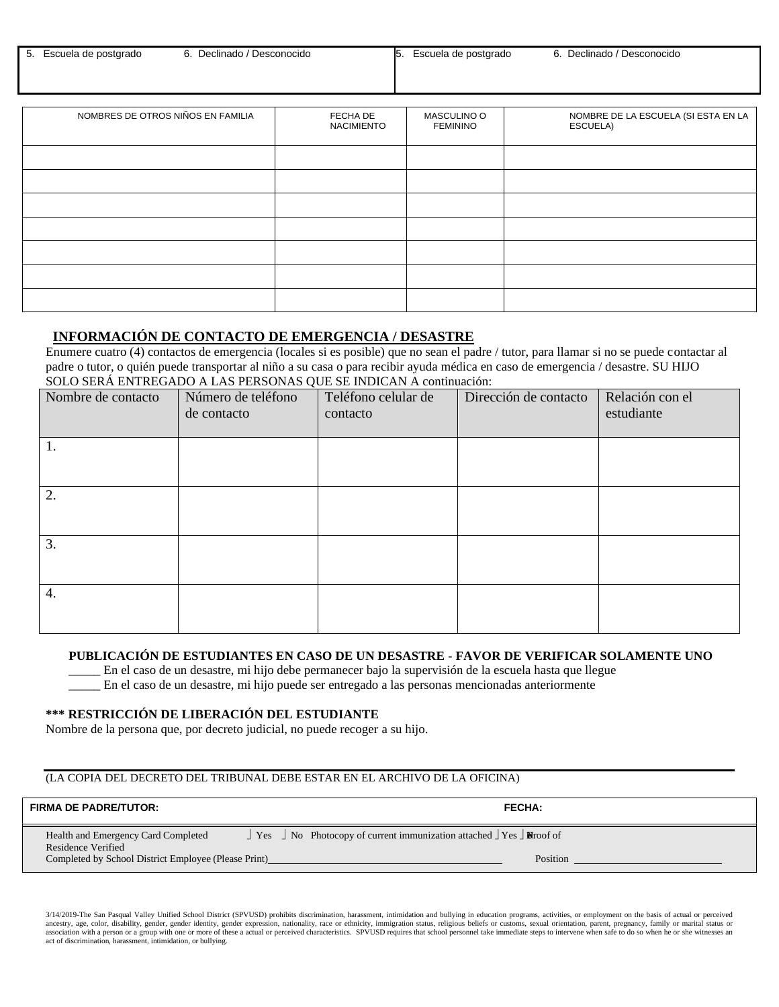| $\frac{1}{5}$<br>Declinado /<br>Escuela de postgrado<br>/ Desconocido<br>Escuela de postgrado<br>Ю. | Declinado / Desconocido |
|-----------------------------------------------------------------------------------------------------|-------------------------|
|-----------------------------------------------------------------------------------------------------|-------------------------|

| NOMBRES DE OTROS NIÑOS EN FAMILIA | FECHA DE<br><b>NACIMIENTO</b> | MASCULINO O<br><b>FEMININO</b> | NOMBRE DE LA ESCUELA (SI ESTA EN LA<br>ESCUELA) |
|-----------------------------------|-------------------------------|--------------------------------|-------------------------------------------------|
|                                   |                               |                                |                                                 |
|                                   |                               |                                |                                                 |
|                                   |                               |                                |                                                 |
|                                   |                               |                                |                                                 |
|                                   |                               |                                |                                                 |
|                                   |                               |                                |                                                 |
|                                   |                               |                                |                                                 |

### **INFORMACIÓN DE CONTACTO DE EMERGENCIA / DESASTRE**

Enumere cuatro (4) contactos de emergencia (locales si es posible) que no sean el padre / tutor, para llamar si no se puede contactar al padre o tutor, o quién puede transportar al niño a su casa o para recibir ayuda médica en caso de emergencia / desastre. SU HIJO SOLO SERÁ ENTREGADO A LAS PERSONAS QUE SE INDICAN A continuación:

| Nombre de contacto | Número de teléfono<br>de contacto | Teléfono celular de<br>contacto | Dirección de contacto | Relación con el<br>estudiante |
|--------------------|-----------------------------------|---------------------------------|-----------------------|-------------------------------|
| 1.                 |                                   |                                 |                       |                               |
| 2.                 |                                   |                                 |                       |                               |
| 3.                 |                                   |                                 |                       |                               |
| 4.                 |                                   |                                 |                       |                               |

#### **PUBLICACIÓN DE ESTUDIANTES EN CASO DE UN DESASTRE - FAVOR DE VERIFICAR SOLAMENTE UNO**

\_\_\_\_\_ En el caso de un desastre, mi hijo debe permanecer bajo la supervisión de la escuela hasta que llegue

\_\_\_\_\_ En el caso de un desastre, mi hijo puede ser entregado a las personas mencionadas anteriormente

#### **\*\*\* RESTRICCIÓN DE LIBERACIÓN DEL ESTUDIANTE**

Nombre de la persona que, por decreto judicial, no puede recoger a su hijo.

#### (LA COPIA DEL DECRETO DEL TRIBUNAL DEBE ESTAR EN EL ARCHIVO DE LA OFICINA)

| <b>FIRMA DE PADRE/TUTOR:</b>                                                                                      | <b>FECHA:</b>                                                                                                  |
|-------------------------------------------------------------------------------------------------------------------|----------------------------------------------------------------------------------------------------------------|
| Health and Emergency Card Completed<br>Residence Verified<br>Completed by School District Employee (Please Print) | $\perp$ Yes $\perp$ No Photocopy of current immunization attached $\perp$ Yes $\perp$ Notarroof of<br>Position |

3/14/2019-The San Pasqual Valley Unified School District (SPVUSD) prohibits discrimination, harassment, intimidation and bullying in education programs, activities, or employment on the basis of actual or perceived<br>ancestr association with a person or a group with one or more of these a actual or perceived characteristics. SPVUSD requires that school personnel take immediate steps to intervene when safe to do so when he or she witnesses an a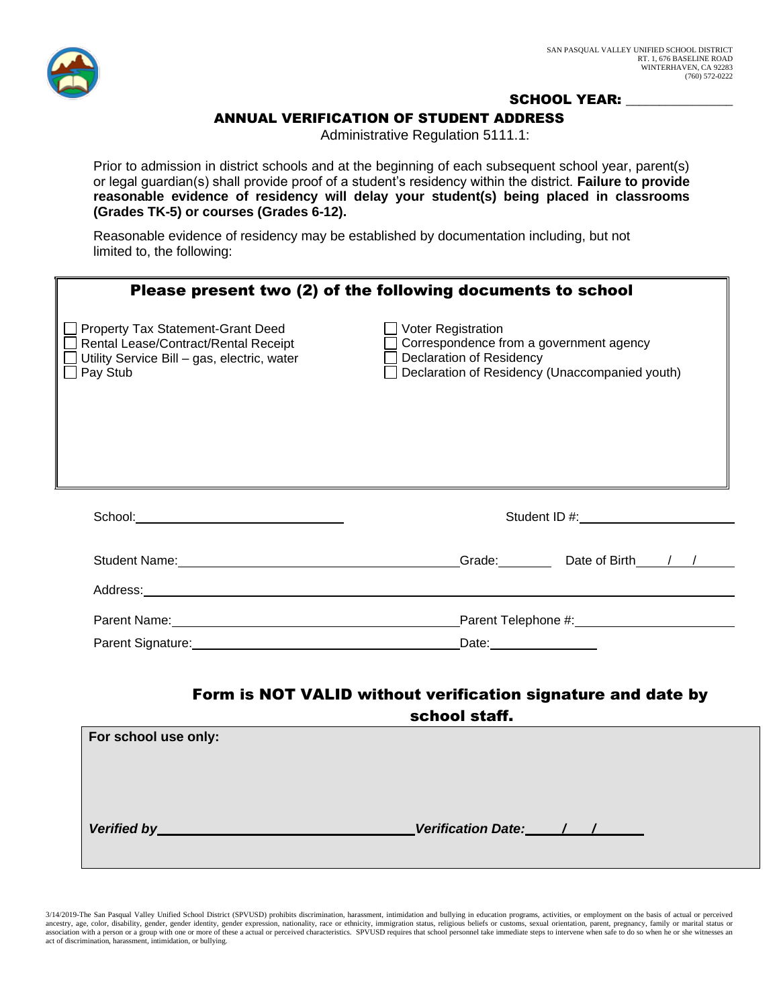

### SCHOOL YEAR:

### ANNUAL VERIFICATION OF STUDENT ADDRESS

Administrative Regulation 5111.1:

Prior to admission in district schools and at the beginning of each subsequent school year, parent(s) or legal guardian(s) shall provide proof of a student's residency within the district. **Failure to provide reasonable evidence of residency will delay your student(s) being placed in classrooms (Grades TK-5) or courses (Grades 6-12).**

Reasonable evidence of residency may be established by documentation including, but not limited to, the following:

|                                                                                                                                                                                                                                | Please present two (2) of the following documents to school                                                                                                                                                                    |
|--------------------------------------------------------------------------------------------------------------------------------------------------------------------------------------------------------------------------------|--------------------------------------------------------------------------------------------------------------------------------------------------------------------------------------------------------------------------------|
| Property Tax Statement-Grant Deed<br>Rental Lease/Contract/Rental Receipt<br>Utility Service Bill - gas, electric, water<br>$\Box$ Pay Stub                                                                                    | Voter Registration<br>Correspondence from a government agency<br><b>Declaration of Residency</b><br>Declaration of Residency (Unaccompanied youth)                                                                             |
| School: Analysis and the second second second second second second second second second second second second second second second second second second second second second second second second second second second second s | Student ID #: expression and the state of the state of the state of the state of the state of the state of the state of the state of the state of the state of the state of the state of the state of the state of the state o |
| Student Name: The Contract of the Contract of the Contract of the Contract of the Contract of the Contract of the Contract of the Contract of the Contract of the Contract of the Contract of the Contract of the Contract of  | Date of Birth / /<br>Grade:                                                                                                                                                                                                    |
| Address:                                                                                                                                                                                                                       |                                                                                                                                                                                                                                |

# Form is NOT VALID without verification signature and date by

Parent Name: Parent Telephone #:

Parent Signature: Date: Date: Date: Date: Date: Date:

school staff.

| For school use only: |                        |  |
|----------------------|------------------------|--|
|                      |                        |  |
| Verified by          | Verification Date: / / |  |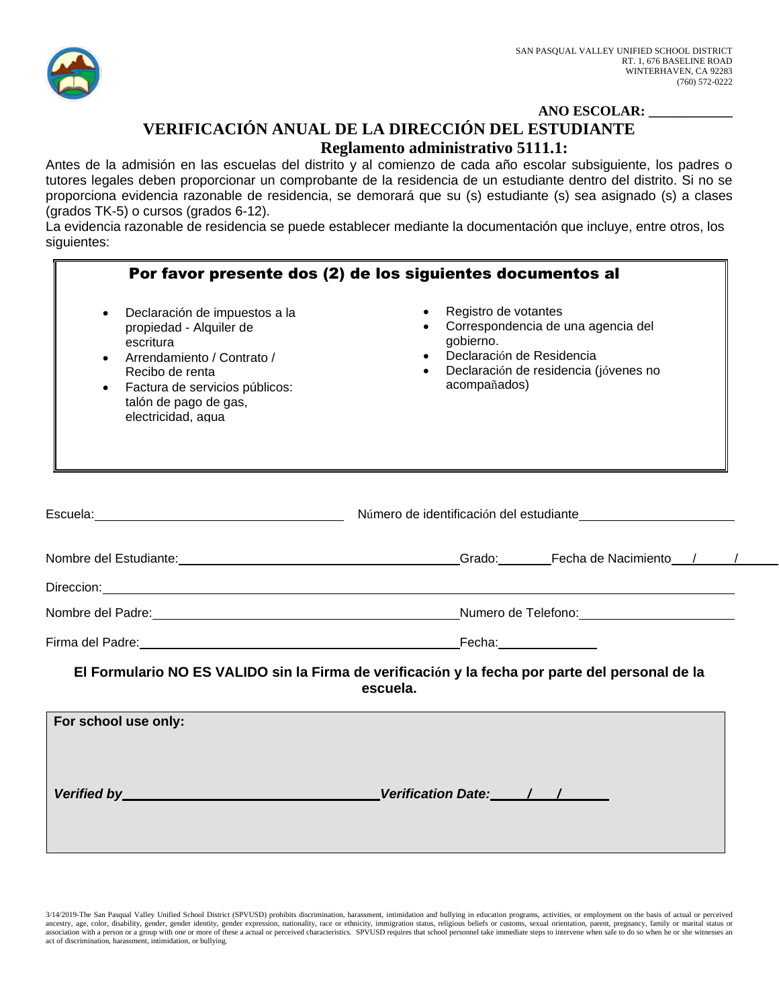

### **ANO ESCOLAR: \_\_\_\_\_\_\_\_\_\_\_\_ VERIFICACIÓN ANUAL DE LA DIRECCIÓN DEL ESTUDIANTE Reglamento administrativo 5111.1:**

Antes de la admisión en las escuelas del distrito y al comienzo de cada año escolar subsiguiente, los padres o tutores legales deben proporcionar un comprobante de la residencia de un estudiante dentro del distrito. Si no se proporciona evidencia razonable de residencia, se demorará que su (s) estudiante (s) sea asignado (s) a clases (grados TK-5) o cursos (grados 6-12).

La evidencia razonable de residencia se puede establecer mediante la documentación que incluye, entre otros, los siguientes:

|                                                                                                                                                                                                                                | Por favor presente dos (2) de los siguientes documentos al                                                                                                                                                                           |  |  |
|--------------------------------------------------------------------------------------------------------------------------------------------------------------------------------------------------------------------------------|--------------------------------------------------------------------------------------------------------------------------------------------------------------------------------------------------------------------------------------|--|--|
| Declaración de impuestos a la<br>$\bullet$<br>propiedad - Alquiler de<br>escritura<br>Arrendamiento / Contrato /<br>Recibo de renta<br>Factura de servicios públicos:<br>talón de pago de gas,<br>electricidad, agua           | Registro de votantes<br>$\bullet$<br>Correspondencia de una agencia del<br>gobierno.<br>Declaración de Residencia<br>Declaración de residencia (jóvenes no<br>acompañados)                                                           |  |  |
|                                                                                                                                                                                                                                | Escuela: <b>Maria de la contrarce de la contrarce de la contrarce de la contrarce de la contrarce de la contrarce de la contrarce de la contrarce de la contrarce de la contrarce de la contrarce de la contrarce de la contrarc</b> |  |  |
|                                                                                                                                                                                                                                | Nombre del Estudiante: 1990 a contra la contra la Caraccella del Caraccello de Macimiento del Caraccello de Na                                                                                                                       |  |  |
|                                                                                                                                                                                                                                | Direccion: <u>Contract Communication</u> Contract Communication Communication Communication Communication Communication                                                                                                              |  |  |
|                                                                                                                                                                                                                                |                                                                                                                                                                                                                                      |  |  |
| Firma del Padre: contra la contra la contra la contra la contra la contra la contra la contra la contra la contra la contra la contra la contra la contra la contra la contra la contra la contra la contra la contra la contr |                                                                                                                                                                                                                                      |  |  |
|                                                                                                                                                                                                                                | El Formulario NO ES VALIDO sin la Firma de verificación y la fecha por parte del personal de la<br>escuela.                                                                                                                          |  |  |
| For school use only:<br>Verified by New York Department of the United States of the United States of the United States of the United States                                                                                    |                                                                                                                                                                                                                                      |  |  |

3/14/2019-The San Pasqual Valley Unified School District (SPVUSD) prohibits discrimination, harassment, intimidation and bullying in education programs, activities, or employment on the basis of actual or perceived<br>ancestr association with a person or a group with one or more of these a actual or perceived characteristics. SPVUSD requires that school personnel take immediate steps to intervene when safe to do so when he or she witnesses an a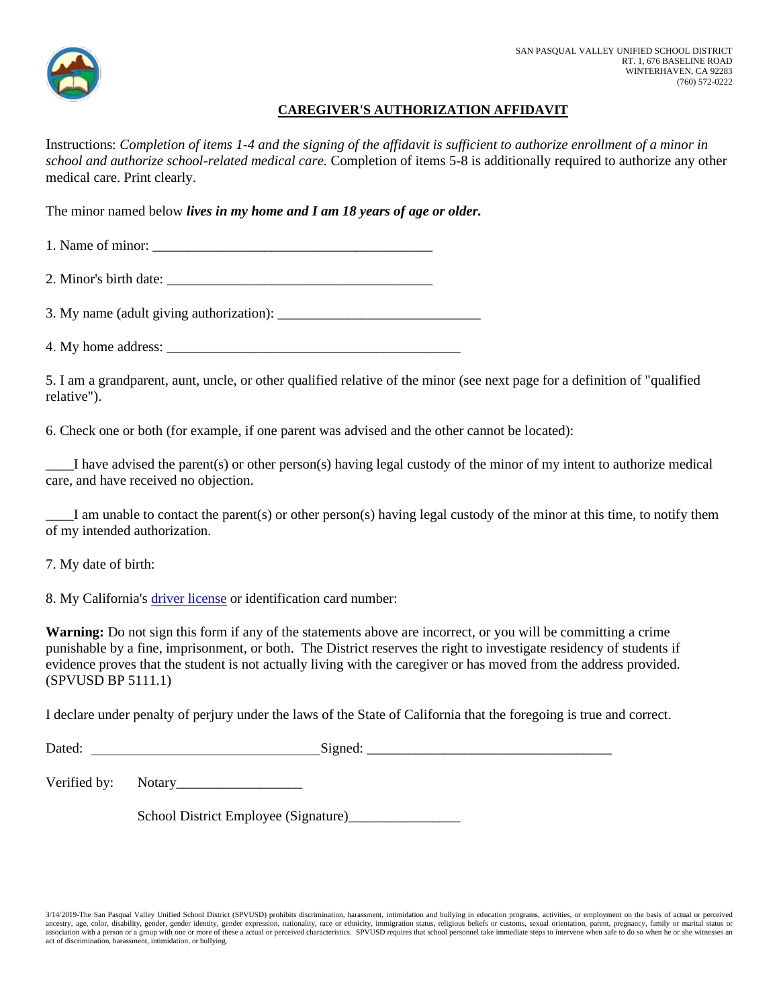

### **CAREGIVER'S AUTHORIZATION AFFIDAVIT**

Instructions: *Completion of items 1-4 and the signing of the affidavit is sufficient to authorize enrollment of a minor in school and authorize school-related medical care.* Completion of items 5-8 is additionally required to authorize any other medical care. Print clearly.

The minor named below *lives in my home and I am 18 years of age or older.*

1. Name of minor: \_\_\_\_\_\_\_\_\_\_\_\_\_\_\_\_\_\_\_\_\_\_\_\_\_\_\_\_\_\_\_\_\_\_\_\_\_\_\_\_

2. Minor's birth date:

3. My name (adult giving authorization): \_\_\_\_\_\_\_\_\_\_\_\_\_\_\_\_\_\_\_\_\_\_\_\_\_\_\_\_\_

4. My home address: \_\_\_\_\_\_\_\_\_\_\_\_\_\_\_\_\_\_\_\_\_\_\_\_\_\_\_\_\_\_\_\_\_\_\_\_\_\_\_\_\_\_

5. I am a grandparent, aunt, uncle, or other qualified relative of the minor (see next page for a definition of "qualified relative").

6. Check one or both (for example, if one parent was advised and the other cannot be located):

I have advised the parent(s) or other person(s) having legal custody of the minor of my intent to authorize medical care, and have received no objection.

\_\_\_\_I am unable to contact the parent(s) or other person(s) having legal custody of the minor at this time, to notify them of my intended authorization.

7. My date of birth:

8. My California's [driver license](http://www.gamutonline.net/district/sanpasqualvalley/displayPolicy/964010/5) or identification card number:

**Warning:** Do not sign this form if any of the statements above are incorrect, or you will be committing a crime punishable by a fine, imprisonment, or both. The District reserves the right to investigate residency of students if evidence proves that the student is not actually living with the caregiver or has moved from the address provided. (SPVUSD BP 5111.1)

I declare under penalty of perjury under the laws of the State of California that the foregoing is true and correct.

Dated: Signed: Signed: Signed: Signed: Signed: Signed: Signed: Signed: Signed: Signed: Signed: Signed: Signed: Signed: Signed: Signed: Signed: Signed: Signed: Signed: Signed: Signed: Signed: Signed: Signed: Signed: Signed:

Verified by: Notary\_\_\_\_\_\_\_\_\_\_\_\_\_\_\_\_\_\_

School District Employee (Signature)\_\_\_\_\_\_\_\_\_\_\_\_\_\_\_\_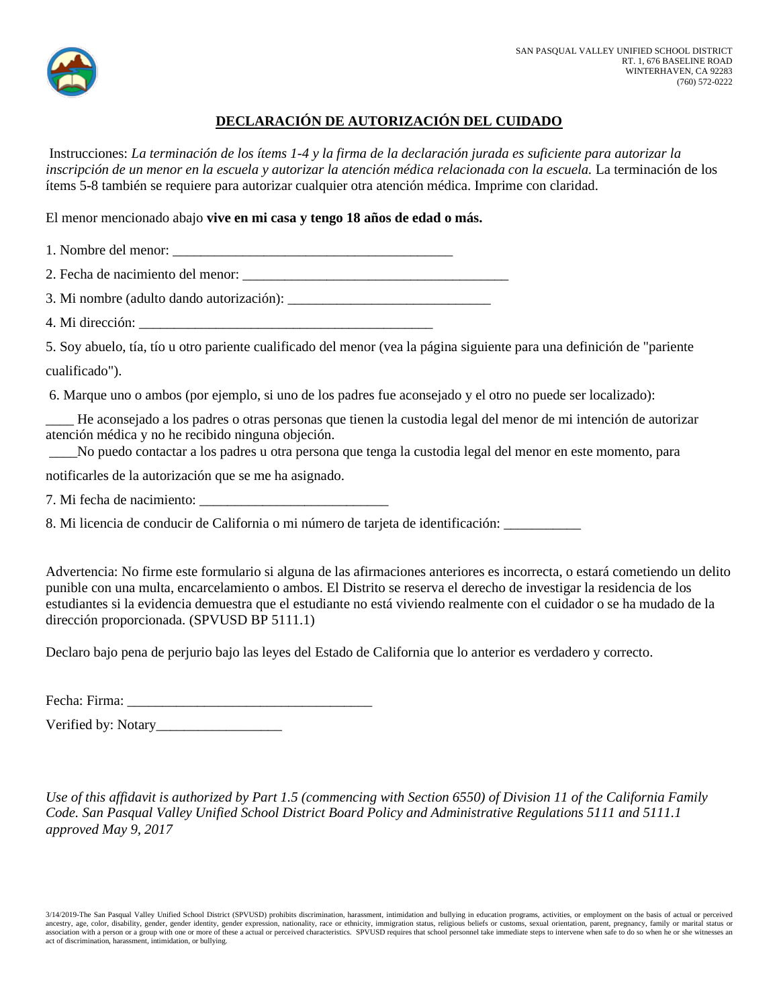

### **DECLARACIÓN DE AUTORIZACIÓN DEL CUIDADO**

Instrucciones: *La terminación de los ítems 1-4 y la firma de la declaración jurada es suficiente para autorizar la inscripción de un menor en la escuela y autorizar la atención médica relacionada con la escuela.* La terminación de los ítems 5-8 también se requiere para autorizar cualquier otra atención médica. Imprime con claridad.

El menor mencionado abajo **vive en mi casa y tengo 18 años de edad o más.** 

1. Nombre del menor:

2. Fecha de nacimiento del menor: \_\_\_\_\_\_\_\_\_\_\_\_\_\_\_\_\_\_\_\_\_\_\_\_\_\_\_\_\_\_\_\_\_\_\_\_\_\_

3. Mi nombre (adulto dando autorización): \_\_\_\_\_\_\_\_\_\_\_\_\_\_\_\_\_\_\_\_\_\_\_\_\_\_\_\_\_

4. Mi dirección:

5. Soy abuelo, tía, tío u otro pariente cualificado del menor (vea la página siguiente para una definición de "pariente cualificado").

6. Marque uno o ambos (por ejemplo, si uno de los padres fue aconsejado y el otro no puede ser localizado):

\_\_\_\_ He aconsejado a los padres o otras personas que tienen la custodia legal del menor de mi intención de autorizar atención médica y no he recibido ninguna objeción.

\_\_\_\_No puedo contactar a los padres u otra persona que tenga la custodia legal del menor en este momento, para

notificarles de la autorización que se me ha asignado.

7. Mi fecha de nacimiento: \_\_\_\_\_\_\_\_\_\_\_\_\_\_\_\_\_\_\_\_\_\_\_\_\_\_\_

8. Mi licencia de conducir de California o mi número de tarjeta de identificación:

Advertencia: No firme este formulario si alguna de las afirmaciones anteriores es incorrecta, o estará cometiendo un delito punible con una multa, encarcelamiento o ambos. El Distrito se reserva el derecho de investigar la residencia de los estudiantes si la evidencia demuestra que el estudiante no está viviendo realmente con el cuidador o se ha mudado de la dirección proporcionada. (SPVUSD BP 5111.1)

Declaro bajo pena de perjurio bajo las leyes del Estado de California que lo anterior es verdadero y correcto.

Fecha: Firma:

Verified by: Notary\_\_\_\_\_\_\_\_\_\_\_\_\_\_\_\_\_\_

*Use of this affidavit is authorized by Part 1.5 (commencing with Section 6550) of Division 11 of the California Family Code. San Pasqual Valley Unified School District Board Policy and Administrative Regulations 5111 and 5111.1 approved May 9, 2017* 

3/14/2019-The San Pasqual Valley Unified School District (SPVUSD) prohibits discrimination, harassment, intimidation and bullying in education programs, activities, or employment on the basis of actual or perceived ancestry, age, color, disability, gender, gender identity, gender expression, nationality, race or ethnicity, immigration status, religious beliefs or customs, sexual orientation, parent, pregnancy, family or marital statu association with a person or a group with one or more of these a actual or perceived characteristics. SPVUSD requires that school personnel take immediate steps to intervene when safe to do so when he or she witnesses an act of discrimination, harassment, intimidation, or bullying.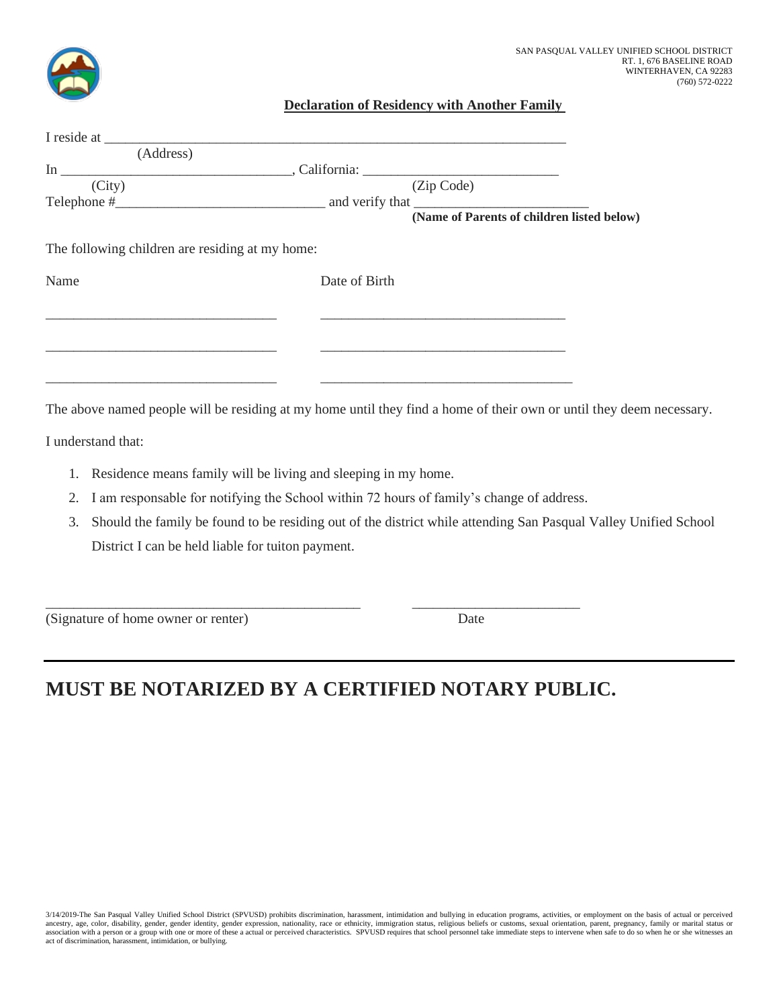

### **Declaration of Residency with Another Family**

| (Address)                                                         |                                                                                                                      |  |
|-------------------------------------------------------------------|----------------------------------------------------------------------------------------------------------------------|--|
|                                                                   |                                                                                                                      |  |
| (City)                                                            | (Zip Code)                                                                                                           |  |
|                                                                   |                                                                                                                      |  |
|                                                                   | (Name of Parents of children listed below)                                                                           |  |
| The following children are residing at my home:                   |                                                                                                                      |  |
| Name                                                              | Date of Birth                                                                                                        |  |
|                                                                   |                                                                                                                      |  |
|                                                                   |                                                                                                                      |  |
|                                                                   |                                                                                                                      |  |
|                                                                   |                                                                                                                      |  |
|                                                                   | The above named people will be residing at my home until they find a home of their own or until they deem necessary. |  |
| I understand that:                                                |                                                                                                                      |  |
| 1. Residence means family will be living and sleeping in my home. |                                                                                                                      |  |

- 2. I am responsable for notifying the School within 72 hours of family's change of address.
- 3. Should the family be found to be residing out of the district while attending San Pasqual Valley Unified School District I can be held liable for tuiton payment.

(Signature of home owner or renter) Date

# **MUST BE NOTARIZED BY A CERTIFIED NOTARY PUBLIC.**

\_\_\_\_\_\_\_\_\_\_\_\_\_\_\_\_\_\_\_\_\_\_\_\_\_\_\_\_\_\_\_\_\_\_\_\_\_\_\_\_\_\_\_\_\_ \_\_\_\_\_\_\_\_\_\_\_\_\_\_\_\_\_\_\_\_\_\_\_\_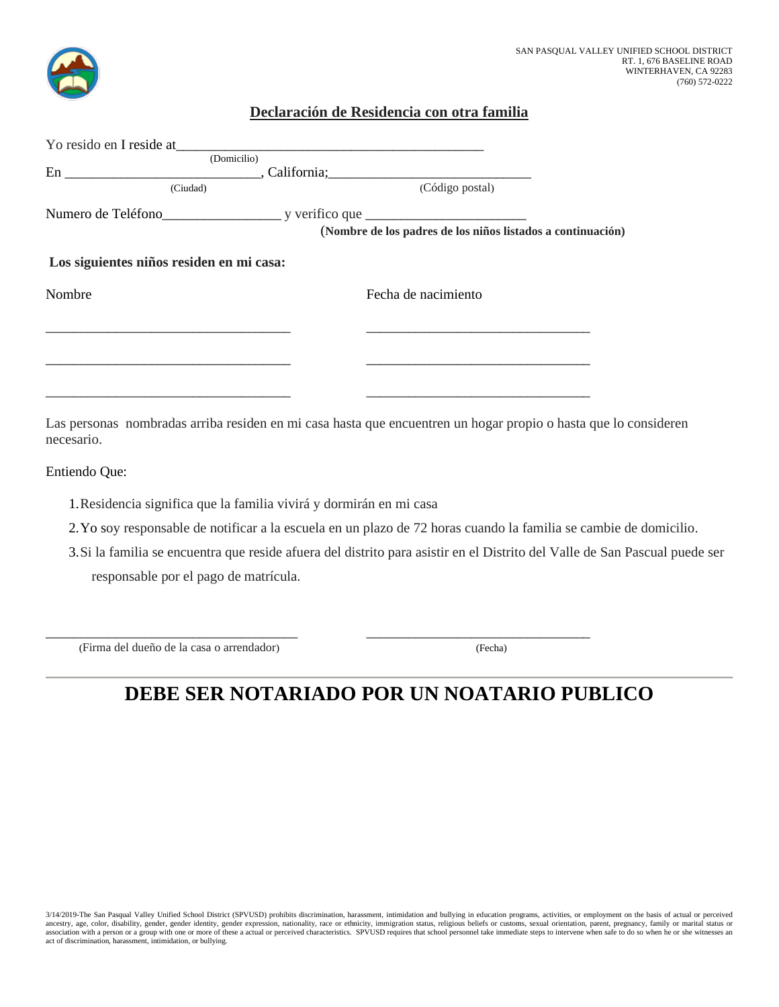

### **Declaración de Residencia con otra familia**

| Yo resido en I reside at                                    |
|-------------------------------------------------------------|
|                                                             |
|                                                             |
| (Código postal)                                             |
|                                                             |
| (Nombre de los padres de los niños listados a continuación) |
| Los siguientes niños residen en mi casa:                    |
| Fecha de nacimiento                                         |
|                                                             |
|                                                             |
|                                                             |
|                                                             |
|                                                             |

Las personas nombradas arriba residen en mi casa hasta que encuentren un hogar propio o hasta que lo consideren necesario.

Entiendo Que:

- 1.Residencia significa que la familia vivirá y dormirán en mi casa
- 2.Yo soy responsable de notificar a la escuela en un plazo de 72 horas cuando la familia se cambie de domicilio.
- 3.Si la familia se encuentra que reside afuera del distrito para asistir en el Distrito del Valle de San Pascual puede ser responsable por el pago de matrícula.

(Firma del dueño de la casa o arrendador) (Fecha)

## **DEBE SER NOTARIADO POR UN NOATARIO PUBLICO**

\_\_\_\_\_\_\_\_\_\_\_\_\_\_\_\_\_\_\_\_\_\_\_\_\_\_\_\_\_\_\_\_\_\_\_\_ \_\_\_\_\_\_\_\_\_\_\_\_\_\_\_\_\_\_\_\_\_\_\_\_\_\_\_\_\_\_\_\_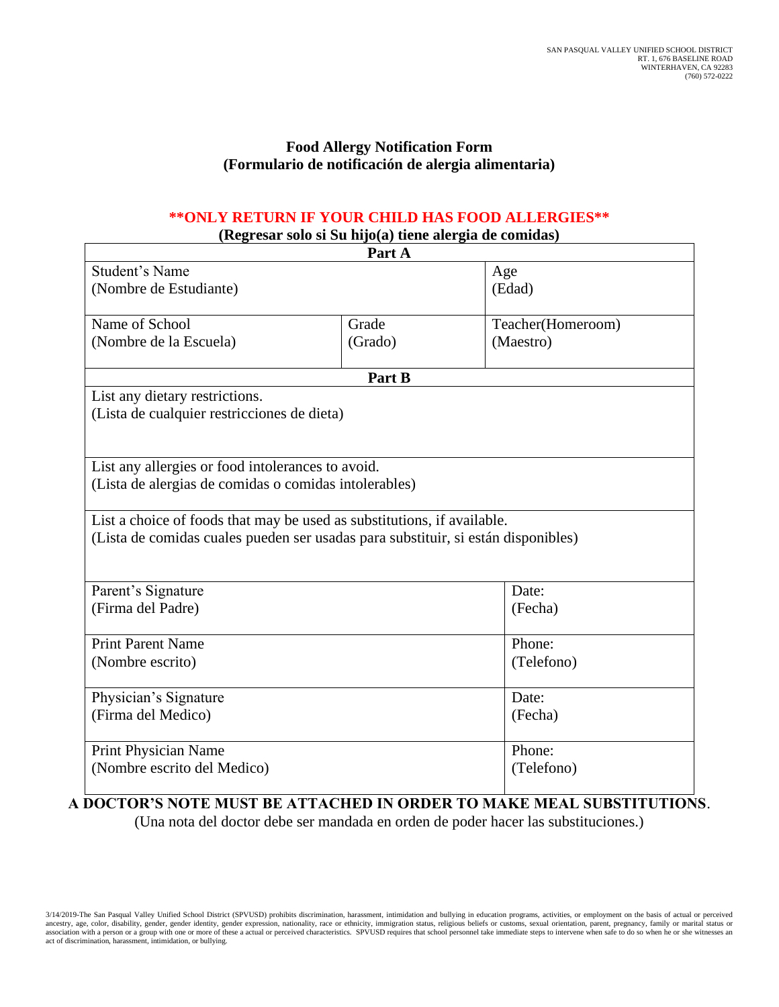### **Food Allergy Notification Form (Formulario de notificación de alergia alimentaria)**

### **\*\*ONLY RETURN IF YOUR CHILD HAS FOOD ALLERGIES\*\***

**(Regresar solo si Su hijo(a) tiene alergia de comidas)**

| $\mathbf{R}$ $\mathbf{S}$ $\mathbf{S}$ $\mathbf{S}$ $\mathbf{S}$ $\mathbf{S}$ $\mathbf{S}$ $\mathbf{S}$ $\mathbf{S}$ $\mathbf{S}$ $\mathbf{S}$ $\mathbf{S}$ $\mathbf{S}$ $\mathbf{S}$ $\mathbf{S}$ $\mathbf{S}$ $\mathbf{S}$ $\mathbf{S}$ $\mathbf{S}$ $\mathbf{S}$ $\mathbf{S}$ $\mathbf{S}$ $\mathbf{S}$ $\mathbf{S}$ $\mathbf{$ | Part A  |                   |  |  |
|------------------------------------------------------------------------------------------------------------------------------------------------------------------------------------------------------------------------------------------------------------------------------------------------------------------------------------|---------|-------------------|--|--|
| <b>Student's Name</b>                                                                                                                                                                                                                                                                                                              |         | Age               |  |  |
| (Nombre de Estudiante)                                                                                                                                                                                                                                                                                                             |         | (Edad)            |  |  |
|                                                                                                                                                                                                                                                                                                                                    |         |                   |  |  |
| Name of School                                                                                                                                                                                                                                                                                                                     | Grade   | Teacher(Homeroom) |  |  |
| (Nombre de la Escuela)                                                                                                                                                                                                                                                                                                             | (Grado) | (Maestro)         |  |  |
|                                                                                                                                                                                                                                                                                                                                    | Part B  |                   |  |  |
| List any dietary restrictions.                                                                                                                                                                                                                                                                                                     |         |                   |  |  |
| (Lista de cualquier restricciones de dieta)                                                                                                                                                                                                                                                                                        |         |                   |  |  |
|                                                                                                                                                                                                                                                                                                                                    |         |                   |  |  |
|                                                                                                                                                                                                                                                                                                                                    |         |                   |  |  |
| List any allergies or food intolerances to avoid.                                                                                                                                                                                                                                                                                  |         |                   |  |  |
| (Lista de alergias de comidas o comidas intolerables)                                                                                                                                                                                                                                                                              |         |                   |  |  |
| List a choice of foods that may be used as substitutions, if available.                                                                                                                                                                                                                                                            |         |                   |  |  |
| (Lista de comidas cuales pueden ser usadas para substituir, si están disponibles)                                                                                                                                                                                                                                                  |         |                   |  |  |
|                                                                                                                                                                                                                                                                                                                                    |         |                   |  |  |
|                                                                                                                                                                                                                                                                                                                                    |         |                   |  |  |
| Parent's Signature                                                                                                                                                                                                                                                                                                                 |         | Date:             |  |  |
| (Firma del Padre)                                                                                                                                                                                                                                                                                                                  |         | (Fecha)           |  |  |
|                                                                                                                                                                                                                                                                                                                                    |         |                   |  |  |
| <b>Print Parent Name</b>                                                                                                                                                                                                                                                                                                           |         | Phone:            |  |  |
| (Nombre escrito)                                                                                                                                                                                                                                                                                                                   |         | (Telefono)        |  |  |
| Physician's Signature                                                                                                                                                                                                                                                                                                              |         | Date:             |  |  |
|                                                                                                                                                                                                                                                                                                                                    |         |                   |  |  |
| (Firma del Medico)                                                                                                                                                                                                                                                                                                                 |         | (Fecha)           |  |  |
| Print Physician Name                                                                                                                                                                                                                                                                                                               |         | Phone:            |  |  |
| (Nombre escrito del Medico)                                                                                                                                                                                                                                                                                                        |         | (Telefono)        |  |  |
|                                                                                                                                                                                                                                                                                                                                    |         |                   |  |  |

### **A DOCTOR'S NOTE MUST BE ATTACHED IN ORDER TO MAKE MEAL SUBSTITUTIONS**.

(Una nota del doctor debe ser mandada en orden de poder hacer las substituciones.)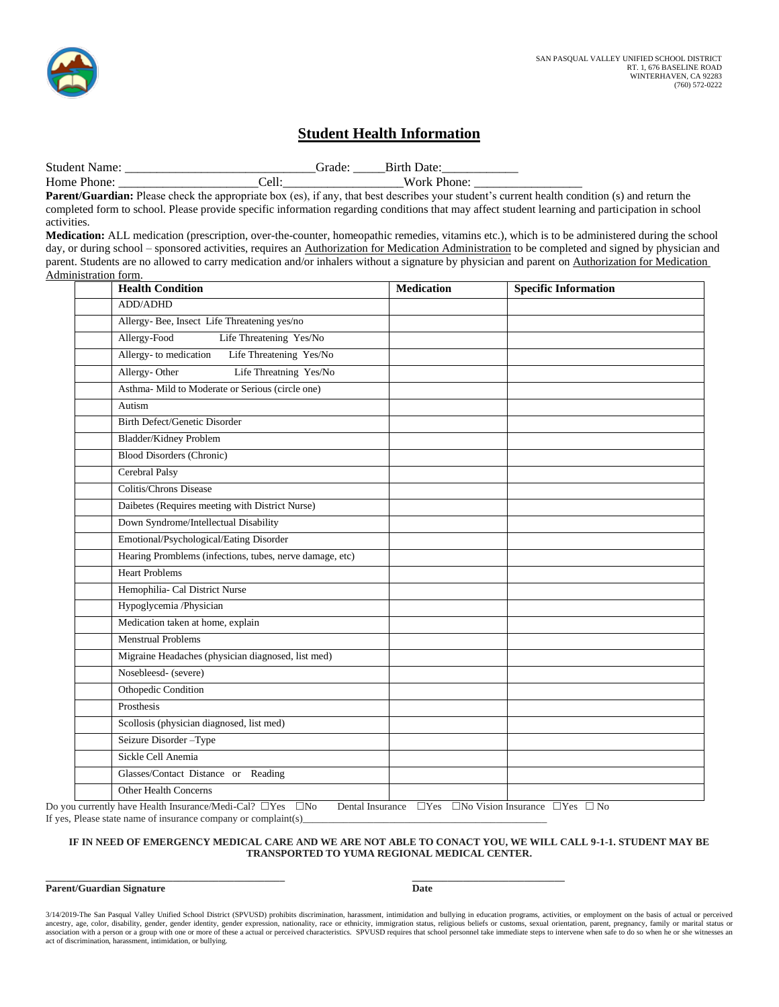### **Student Health Information**

Student Name: <br>
Grade: Birth Date: Home Phone: \_\_\_\_\_\_\_\_\_\_\_\_\_\_\_\_\_\_\_\_\_\_Cell:\_\_\_\_\_\_\_\_\_\_\_\_\_\_\_\_\_\_\_Work Phone: \_\_\_\_\_\_\_\_\_\_\_\_\_\_\_\_\_

Parent/Guardian: Please check the appropriate box (es), if any, that best describes your student's current health condition (s) and return the completed form to school. Please provide specific information regarding conditions that may affect student learning and participation in school activities.

**Medication:** ALL medication (prescription, over-the-counter, homeopathic remedies, vitamins etc.), which is to be administered during the school day, or during school – sponsored activities, requires an Authorization for Medication Administration to be completed and signed by physician and parent. Students are no allowed to carry medication and/or inhalers without a signature by physician and parent on Authorization for Medication Administration form.

| <b>Health Condition</b>                                  | <b>Medication</b> | <b>Specific Information</b> |
|----------------------------------------------------------|-------------------|-----------------------------|
| <b>ADD/ADHD</b>                                          |                   |                             |
| Allergy-Bee, Insect Life Threatening yes/no              |                   |                             |
| Allergy-Food<br>Life Threatening Yes/No                  |                   |                             |
| Allergy- to medication<br>Life Threatening Yes/No        |                   |                             |
| Allergy-Other<br>Life Threatning Yes/No                  |                   |                             |
| Asthma- Mild to Moderate or Serious (circle one)         |                   |                             |
| Autism                                                   |                   |                             |
| <b>Birth Defect/Genetic Disorder</b>                     |                   |                             |
| <b>Bladder/Kidney Problem</b>                            |                   |                             |
| <b>Blood Disorders (Chronic)</b>                         |                   |                             |
| Cerebral Palsy                                           |                   |                             |
| Colitis/Chrons Disease                                   |                   |                             |
| Daibetes (Requires meeting with District Nurse)          |                   |                             |
| Down Syndrome/Intellectual Disability                    |                   |                             |
| Emotional/Psychological/Eating Disorder                  |                   |                             |
| Hearing Promblems (infections, tubes, nerve damage, etc) |                   |                             |
| <b>Heart Problems</b>                                    |                   |                             |
| Hemophilia- Cal District Nurse                           |                   |                             |
| Hypoglycemia /Physician                                  |                   |                             |
| Medication taken at home, explain                        |                   |                             |
| <b>Menstrual Problems</b>                                |                   |                             |
| Migraine Headaches (physician diagnosed, list med)       |                   |                             |
| Nosebleesd- (severe)                                     |                   |                             |
| Othopedic Condition                                      |                   |                             |
| Prosthesis                                               |                   |                             |
| Scollosis (physician diagnosed, list med)                |                   |                             |
| Seizure Disorder-Type                                    |                   |                             |
| Sickle Cell Anemia                                       |                   |                             |
| Glasses/Contact Distance or Reading                      |                   |                             |
| <b>Other Health Concerns</b>                             |                   |                             |
|                                                          |                   |                             |

Do you currently have Health Insurance/Medi-Cal?  $\Box$ Yes  $\Box$ No Dental Insurance  $\Box$ Yes  $\Box$ No Vision Insurance  $\Box$ Yes  $\Box$  No If yes, Please state name of insurance company or complaint(s)

#### **IF IN NEED OF EMERGENCY MEDICAL CARE AND WE ARE NOT ABLE TO CONACT YOU, WE WILL CALL 9-1-1. STUDENT MAY BE TRANSPORTED TO YUMA REGIONAL MEDICAL CENTER.**

#### **\_\_\_\_\_\_\_\_\_\_\_\_\_\_\_\_\_\_\_\_\_\_\_\_\_\_\_\_\_\_\_\_\_\_\_\_\_\_\_\_\_\_\_\_\_\_\_ \_\_\_\_\_\_\_\_\_\_\_\_\_\_\_\_\_\_\_\_\_\_\_\_\_\_\_\_\_\_ Parent/Guardian Signature Date**

3/14/2019-The San Pasqual Valley Unified School District (SPVUSD) prohibits discrimination, harassment, intimidation and bullying in education programs, activities, or employment on the basis of actual or perceived<br>ancestr association with a person or a group with one or more of these a actual or perceived characteristics. SPVUSD requires that school personnel take immediate steps to intervene when safe to do so when he or she witnesses an act of discrimination, harassment, intimidation, or bullying.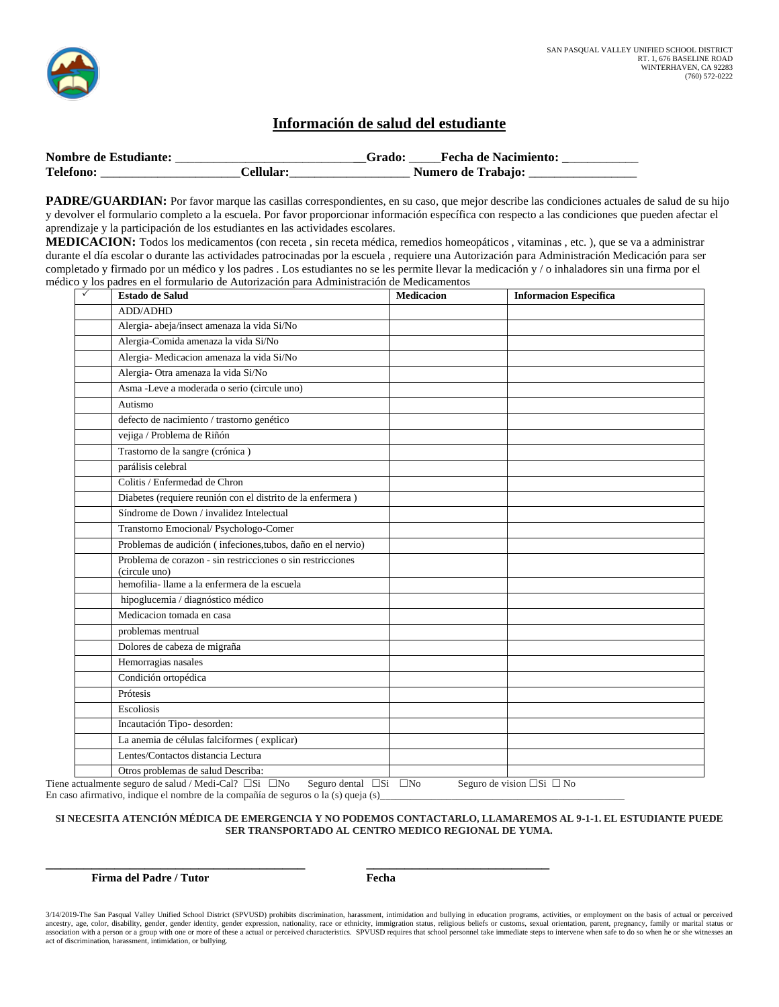

### **Información de salud del estudiante**

| <b>Nombre de Estudiante:</b> |          | <b>Fecha de Nacimiento:</b> |
|------------------------------|----------|-----------------------------|
| <b>Telefono</b>              | 'ellular | <b>Numero de Trabajo:</b>   |

PADRE/GUARDIAN: Por favor marque las casillas correspondientes, en su caso, que mejor describe las condiciones actuales de salud de su hijo y devolver el formulario completo a la escuela. Por favor proporcionar información específica con respecto a las condiciones que pueden afectar el aprendizaje y la participación de los estudiantes en las actividades escolares.

**MEDICACION:** Todos los medicamentos (con receta , sin receta médica, remedios homeopáticos , vitaminas , etc. ), que se va a administrar durante el día escolar o durante las actividades patrocinadas por la escuela , requiere una Autorización para Administración Medicación para ser completado y firmado por un médico y los padres . Los estudiantes no se les permite llevar la medicación y / o inhaladores sin una firma por el médico y los padres en el formulario de Autorización para Administración de Medicamentos

| $\checkmark$<br><b>Estado de Salud</b>                                                                                                                                                                                                                                                                                                                                                                        | <b>Medicacion</b> | <b>Informacion Especifica</b>                                                                                                                                                                                               |
|---------------------------------------------------------------------------------------------------------------------------------------------------------------------------------------------------------------------------------------------------------------------------------------------------------------------------------------------------------------------------------------------------------------|-------------------|-----------------------------------------------------------------------------------------------------------------------------------------------------------------------------------------------------------------------------|
| <b>ADD/ADHD</b>                                                                                                                                                                                                                                                                                                                                                                                               |                   |                                                                                                                                                                                                                             |
| Alergia- abeja/insect amenaza la vida Si/No                                                                                                                                                                                                                                                                                                                                                                   |                   |                                                                                                                                                                                                                             |
| Alergia-Comida amenaza la vida Si/No                                                                                                                                                                                                                                                                                                                                                                          |                   |                                                                                                                                                                                                                             |
| Alergia- Medicacion amenaza la vida Si/No                                                                                                                                                                                                                                                                                                                                                                     |                   |                                                                                                                                                                                                                             |
| Alergia- Otra amenaza la vida Si/No                                                                                                                                                                                                                                                                                                                                                                           |                   |                                                                                                                                                                                                                             |
| Asma -Leve a moderada o serio (circule uno)                                                                                                                                                                                                                                                                                                                                                                   |                   |                                                                                                                                                                                                                             |
| Autismo                                                                                                                                                                                                                                                                                                                                                                                                       |                   |                                                                                                                                                                                                                             |
| defecto de nacimiento / trastorno genético                                                                                                                                                                                                                                                                                                                                                                    |                   |                                                                                                                                                                                                                             |
| vejiga / Problema de Riñón                                                                                                                                                                                                                                                                                                                                                                                    |                   |                                                                                                                                                                                                                             |
| Trastorno de la sangre (crónica)                                                                                                                                                                                                                                                                                                                                                                              |                   |                                                                                                                                                                                                                             |
| parálisis celebral                                                                                                                                                                                                                                                                                                                                                                                            |                   |                                                                                                                                                                                                                             |
| Colitis / Enfermedad de Chron                                                                                                                                                                                                                                                                                                                                                                                 |                   |                                                                                                                                                                                                                             |
| Diabetes (requiere reunión con el distrito de la enfermera)                                                                                                                                                                                                                                                                                                                                                   |                   |                                                                                                                                                                                                                             |
| Síndrome de Down / invalidez Intelectual                                                                                                                                                                                                                                                                                                                                                                      |                   |                                                                                                                                                                                                                             |
| Transtorno Emocional/ Psychologo-Comer                                                                                                                                                                                                                                                                                                                                                                        |                   |                                                                                                                                                                                                                             |
| Problemas de audición (infeciones, tubos, daño en el nervio)                                                                                                                                                                                                                                                                                                                                                  |                   |                                                                                                                                                                                                                             |
| Problema de corazon - sin restricciones o sin restricciones<br>(circule uno)                                                                                                                                                                                                                                                                                                                                  |                   |                                                                                                                                                                                                                             |
| hemofilia-llame a la enfermera de la escuela                                                                                                                                                                                                                                                                                                                                                                  |                   |                                                                                                                                                                                                                             |
| hipoglucemia / diagnóstico médico                                                                                                                                                                                                                                                                                                                                                                             |                   |                                                                                                                                                                                                                             |
| Medicacion tomada en casa                                                                                                                                                                                                                                                                                                                                                                                     |                   |                                                                                                                                                                                                                             |
| problemas mentrual                                                                                                                                                                                                                                                                                                                                                                                            |                   |                                                                                                                                                                                                                             |
| Dolores de cabeza de migraña                                                                                                                                                                                                                                                                                                                                                                                  |                   |                                                                                                                                                                                                                             |
| Hemorragias nasales                                                                                                                                                                                                                                                                                                                                                                                           |                   |                                                                                                                                                                                                                             |
| Condición ortopédica                                                                                                                                                                                                                                                                                                                                                                                          |                   |                                                                                                                                                                                                                             |
| Prótesis                                                                                                                                                                                                                                                                                                                                                                                                      |                   |                                                                                                                                                                                                                             |
| Escoliosis                                                                                                                                                                                                                                                                                                                                                                                                    |                   |                                                                                                                                                                                                                             |
| Incautación Tipo- desorden:                                                                                                                                                                                                                                                                                                                                                                                   |                   |                                                                                                                                                                                                                             |
| La anemia de células falciformes (explicar)                                                                                                                                                                                                                                                                                                                                                                   |                   |                                                                                                                                                                                                                             |
| Lentes/Contactos distancia Lectura                                                                                                                                                                                                                                                                                                                                                                            |                   |                                                                                                                                                                                                                             |
| Otros problemas de salud Describa:<br>$\mathcal{L}_{\text{m}}$ and $\mathcal{L}_{\text{m}}$ and $\mathcal{L}_{\text{m}}$ and $\mathcal{L}_{\text{m}}$ and $\mathcal{L}_{\text{m}}$ and $\mathcal{L}_{\text{m}}$ and $\mathcal{L}_{\text{m}}$ and $\mathcal{L}_{\text{m}}$ and $\mathcal{L}_{\text{m}}$ and $\mathcal{L}_{\text{m}}$ and $\mathcal{L}_{\text{m}}$ and $\mathcal{L}_{\text{m}}$ and $\mathcal{$ |                   | $C_1$ and $C_2$ and $C_3$ and $C_4$ and $C_5$ and $C_6$ and $C_7$ and $C_8$ and $C_9$ and $C_9$ and $C_9$ and $C_9$ and $C_9$ and $C_9$ and $C_9$ and $C_9$ and $C_9$ and $C_9$ and $C_9$ and $C_9$ and $C_9$ and $C_9$ and |

Tiene actualmente seguro de salud / Medi-Cal?  $\Box$ Si  $\Box$ No Seguro dental  $\Box$ Si  $\Box$ No Seguro de vision  $\Box$ Si  $\Box$ No En caso afirmativo, indique el nombre de la compañía de seguros o la (s) queja (s)

**\_\_\_\_\_\_\_\_\_\_\_\_\_\_\_\_\_\_\_\_\_\_\_\_\_\_\_\_\_\_\_\_\_\_ \_\_\_\_\_\_\_\_\_\_\_\_\_\_\_\_\_\_\_\_\_\_\_\_**

#### **SI NECESITA ATENCIÓN MÉDICA DE EMERGENCIA Y NO PODEMOS CONTACTARLO, LLAMAREMOS AL 9-1-1. EL ESTUDIANTE PUEDE SER TRANSPORTADO AL CENTRO MEDICO REGIONAL DE YUMA.**

**Firma del Padre / Tutor Fecha**

<sup>3/14/2019-</sup>The San Pasqual Valley Unified School District (SPVUSD) prohibits discrimination, harassment, intimidation and bullying in education programs, activities, or employment on the basis of actual or perceived<br>ancestr association with a person or a group with one or more of these a actual or perceived characteristics. SPVUSD requires that school personnel take immediate steps to intervene when safe to do so when he or she witnesses an act of discrimination, harassment, intimidation, or bullying.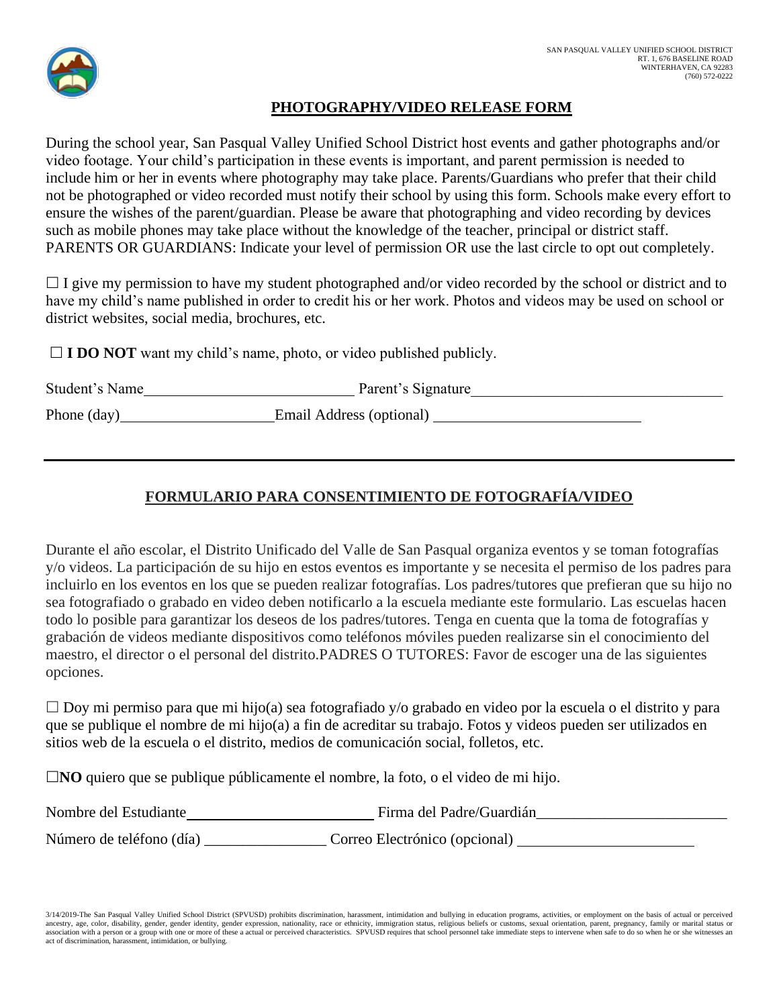

### **PHOTOGRAPHY/VIDEO RELEASE FORM**

During the school year, San Pasqual Valley Unified School District host events and gather photographs and/or video footage. Your child's participation in these events is important, and parent permission is needed to include him or her in events where photography may take place. Parents/Guardians who prefer that their child not be photographed or video recorded must notify their school by using this form. Schools make every effort to ensure the wishes of the parent/guardian. Please be aware that photographing and video recording by devices such as mobile phones may take place without the knowledge of the teacher, principal or district staff. PARENTS OR GUARDIANS: Indicate your level of permission OR use the last circle to opt out completely.

 $\Box$  I give my permission to have my student photographed and/or video recorded by the school or district and to have my child's name published in order to credit his or her work. Photos and videos may be used on school or district websites, social media, brochures, etc.

 $\Box$  **I DO NOT** want my child's name, photo, or video published publicly.

| Student's Name | Parent's Signature       |
|----------------|--------------------------|
| Phone (day)    | Email Address (optional) |

### **FORMULARIO PARA CONSENTIMIENTO DE FOTOGRAFÍA/VIDEO**

Durante el año escolar, el Distrito Unificado del Valle de San Pasqual organiza eventos y se toman fotografías y/o videos. La participación de su hijo en estos eventos es importante y se necesita el permiso de los padres para incluirlo en los eventos en los que se pueden realizar fotografías. Los padres/tutores que prefieran que su hijo no sea fotografiado o grabado en video deben notificarlo a la escuela mediante este formulario. Las escuelas hacen todo lo posible para garantizar los deseos de los padres/tutores. Tenga en cuenta que la toma de fotografías y grabación de videos mediante dispositivos como teléfonos móviles pueden realizarse sin el conocimiento del maestro, el director o el personal del distrito.PADRES O TUTORES: Favor de escoger una de las siguientes opciones.

 $\Box$  Doy mi permiso para que mi hijo(a) sea fotografiado y/o grabado en video por la escuela o el distrito y para que se publique el nombre de mi hijo(a) a fin de acreditar su trabajo. Fotos y videos pueden ser utilizados en sitios web de la escuela o el distrito, medios de comunicación social, folletos, etc.

**NO** quiero que se publique públicamente el nombre, la foto, o el video de mi hijo.

| Nombre del Estudiante    | Firma del Padre/Guardián      |
|--------------------------|-------------------------------|
| Número de teléfono (día) | Correo Electrónico (opcional) |

3/14/2019-The San Pasqual Valley Unified School District (SPVUSD) prohibits discrimination, harassment, intimidation and bullying in education programs, activities, or employment on the basis of actual or perceived ancestry, age, color, disability, gender, gender identity, gender expression, nationality, race or ethnicity, immigration status, religious beliefs or customs, sexual orientation, parent, pregnancy, family or marital statu association with a person or a group with one or more of these a actual or perceived characteristics. SPVUSD requires that school personnel take immediate steps to intervene when safe to do so when he or she witnesses an act of discrimination, harassment, intimidation, or bullying.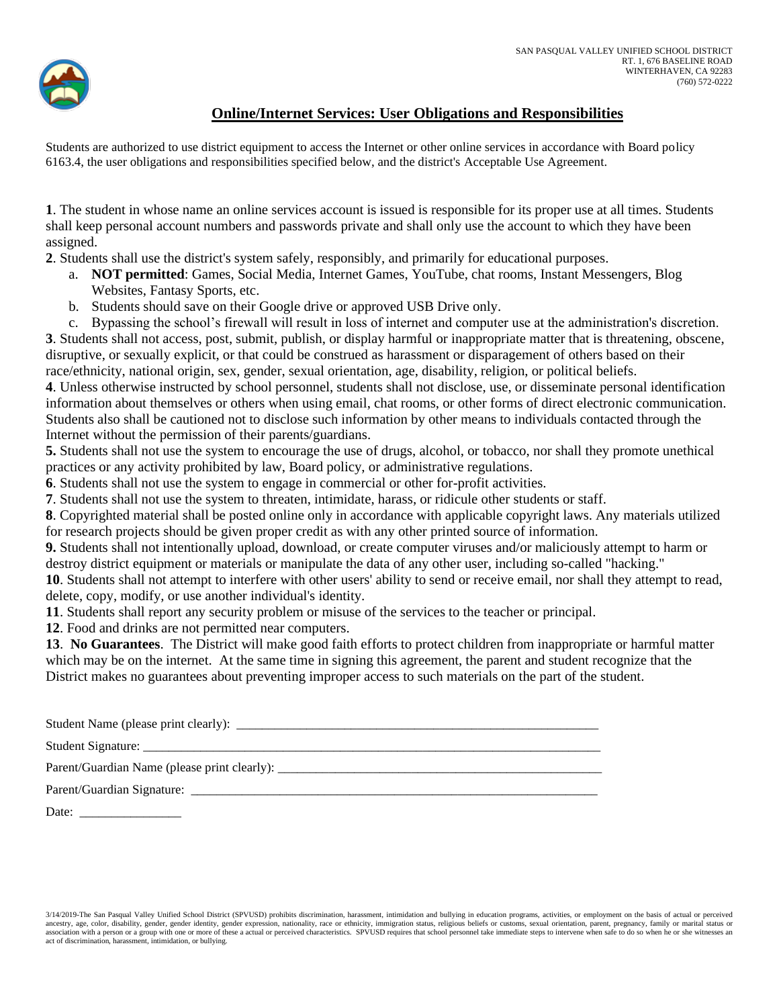

### **Online/Internet Services: User Obligations and Responsibilities**

Students are authorized to use district equipment to access the Internet or other online services in accordance with Board policy 6163.4, the user obligations and responsibilities specified below, and the district's Acceptable Use Agreement.

**1**. The student in whose name an online services account is issued is responsible for its proper use at all times. Students shall keep personal account numbers and passwords private and shall only use the account to which they have been assigned.

**2**. Students shall use the district's system safely, responsibly, and primarily for educational purposes.

- a. **NOT permitted**: Games, Social Media, Internet Games, YouTube, chat rooms, Instant Messengers, Blog Websites, Fantasy Sports, etc.
- b. Students should save on their Google drive or approved USB Drive only.
- c. Bypassing the school's firewall will result in loss of internet and computer use at the administration's discretion.

**3**. Students shall not access, post, submit, publish, or display harmful or inappropriate matter that is threatening, obscene, disruptive, or sexually explicit, or that could be construed as harassment or disparagement of others based on their race/ethnicity, national origin, sex, gender, sexual orientation, age, disability, religion, or political beliefs.

**4**. Unless otherwise instructed by school personnel, students shall not disclose, use, or disseminate personal identification information about themselves or others when using email, chat rooms, or other forms of direct electronic communication. Students also shall be cautioned not to disclose such information by other means to individuals contacted through the Internet without the permission of their parents/guardians.

**5.** Students shall not use the system to encourage the use of drugs, alcohol, or tobacco, nor shall they promote unethical practices or any activity prohibited by law, Board policy, or administrative regulations.

**6**. Students shall not use the system to engage in commercial or other for-profit activities.

**7**. Students shall not use the system to threaten, intimidate, harass, or ridicule other students or staff.

**8**. Copyrighted material shall be posted online only in accordance with applicable copyright laws. Any materials utilized for research projects should be given proper credit as with any other printed source of information.

**9.** Students shall not intentionally upload, download, or create computer viruses and/or maliciously attempt to harm or destroy district equipment or materials or manipulate the data of any other user, including so-called "hacking."

**10**. Students shall not attempt to interfere with other users' ability to send or receive email, nor shall they attempt to read, delete, copy, modify, or use another individual's identity.

**11**. Students shall report any security problem or misuse of the services to the teacher or principal.

**12**. Food and drinks are not permitted near computers.

**13**. **No Guarantees**. The District will make good faith efforts to protect children from inappropriate or harmful matter which may be on the internet. At the same time in signing this agreement, the parent and student recognize that the District makes no guarantees about preventing improper access to such materials on the part of the student.

| Student Name (please print clearly):         |
|----------------------------------------------|
| Student Signature:                           |
| Parent/Guardian Name (please print clearly): |

Parent/Guardian Signature: \_\_\_\_\_\_\_\_\_\_\_\_\_\_\_\_\_\_\_\_\_\_\_\_\_\_\_\_\_\_\_\_\_\_\_\_\_\_\_\_\_\_\_\_\_\_\_\_\_\_\_\_\_\_\_\_\_\_\_\_\_\_\_\_

Date:  $\Box$ 

3/14/2019-The San Pasqual Valley Unified School District (SPVUSD) prohibits discrimination, harassment, intimidation and bullying in education programs, activities, or employment on the basis of actual or perceived ancestry, age, color, disability, gender, gender identity, gender expression, nationality, race or ethnicity, immigration status, religious beliefs or customs, sexual orientation, parent, pregnancy, family or marital statu association with a person or a group with one or more of these a actual or perceived characteristics. SPVUSD requires that school personnel take immediate steps to intervene when safe to do so when he or she witnesses an act of discrimination, harassment, intimidation, or bullying.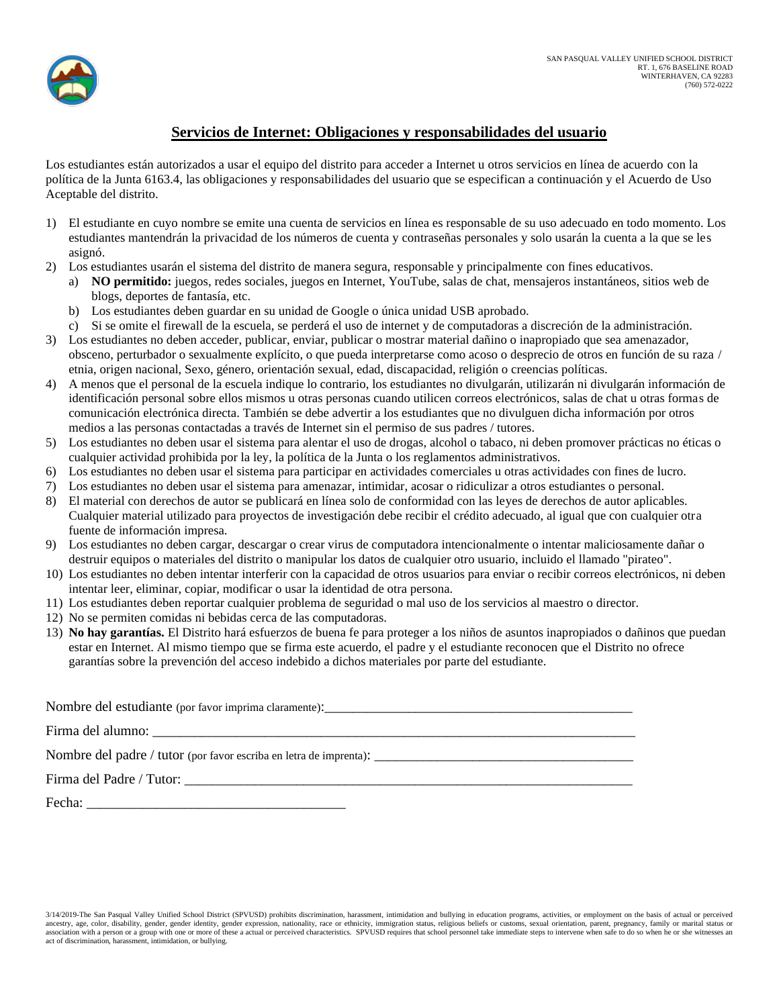

### **Servicios de Internet: Obligaciones y responsabilidades del usuario**

Los estudiantes están autorizados a usar el equipo del distrito para acceder a Internet u otros servicios en línea de acuerdo con la política de la Junta 6163.4, las obligaciones y responsabilidades del usuario que se especifican a continuación y el Acuerdo de Uso Aceptable del distrito.

- 1) El estudiante en cuyo nombre se emite una cuenta de servicios en línea es responsable de su uso adecuado en todo momento. Los estudiantes mantendrán la privacidad de los números de cuenta y contraseñas personales y solo usarán la cuenta a la que se les asignó.
- 2) Los estudiantes usarán el sistema del distrito de manera segura, responsable y principalmente con fines educativos.
	- a) **NO permitido:** juegos, redes sociales, juegos en Internet, YouTube, salas de chat, mensajeros instantáneos, sitios web de blogs, deportes de fantasía, etc.
	- b) Los estudiantes deben guardar en su unidad de Google o única unidad USB aprobado.
	- c) Si se omite el firewall de la escuela, se perderá el uso de internet y de computadoras a discreción de la administración.
- 3) Los estudiantes no deben acceder, publicar, enviar, publicar o mostrar material dañino o inapropiado que sea amenazador, obsceno, perturbador o sexualmente explícito, o que pueda interpretarse como acoso o desprecio de otros en función de su raza / etnia, origen nacional, Sexo, género, orientación sexual, edad, discapacidad, religión o creencias políticas.
- 4) A menos que el personal de la escuela indique lo contrario, los estudiantes no divulgarán, utilizarán ni divulgarán información de identificación personal sobre ellos mismos u otras personas cuando utilicen correos electrónicos, salas de chat u otras formas de comunicación electrónica directa. También se debe advertir a los estudiantes que no divulguen dicha información por otros medios a las personas contactadas a través de Internet sin el permiso de sus padres / tutores.
- 5) Los estudiantes no deben usar el sistema para alentar el uso de drogas, alcohol o tabaco, ni deben promover prácticas no éticas o cualquier actividad prohibida por la ley, la política de la Junta o los reglamentos administrativos.
- 6) Los estudiantes no deben usar el sistema para participar en actividades comerciales u otras actividades con fines de lucro.
- 7) Los estudiantes no deben usar el sistema para amenazar, intimidar, acosar o ridiculizar a otros estudiantes o personal.
- 8) El material con derechos de autor se publicará en línea solo de conformidad con las leyes de derechos de autor aplicables. Cualquier material utilizado para proyectos de investigación debe recibir el crédito adecuado, al igual que con cualquier otra fuente de información impresa.
- 9) Los estudiantes no deben cargar, descargar o crear virus de computadora intencionalmente o intentar maliciosamente dañar o destruir equipos o materiales del distrito o manipular los datos de cualquier otro usuario, incluido el llamado "pirateo".
- 10) Los estudiantes no deben intentar interferir con la capacidad de otros usuarios para enviar o recibir correos electrónicos, ni deben intentar leer, eliminar, copiar, modificar o usar la identidad de otra persona.
- 11) Los estudiantes deben reportar cualquier problema de seguridad o mal uso de los servicios al maestro o director.
- 12) No se permiten comidas ni bebidas cerca de las computadoras.
- 13) **No hay garantías.** El Distrito hará esfuerzos de buena fe para proteger a los niños de asuntos inapropiados o dañinos que puedan estar en Internet. Al mismo tiempo que se firma este acuerdo, el padre y el estudiante reconocen que el Distrito no ofrece garantías sobre la prevención del acceso indebido a dichos materiales por parte del estudiante.

| Fecha: $\frac{1}{2}$ |
|----------------------|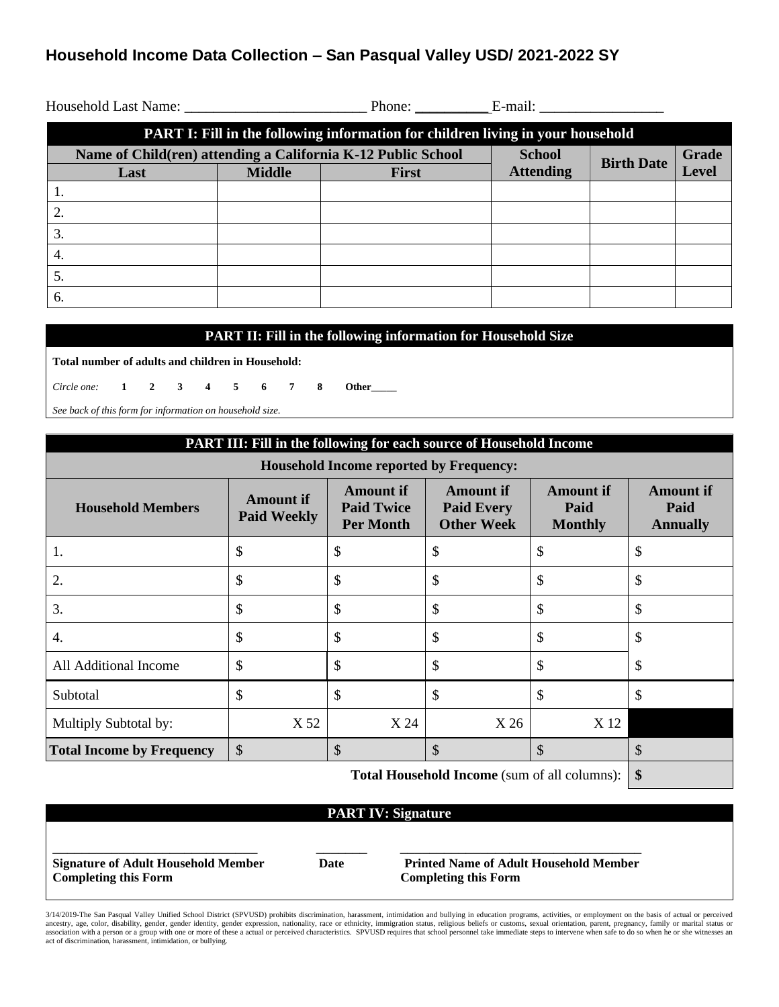### **Household Income Data Collection – San Pasqual Valley USD/ 2021-2022 SY**

|                                                              |               | <b>PART I: Fill in the following information for children living in your household</b> |                   |       |       |
|--------------------------------------------------------------|---------------|----------------------------------------------------------------------------------------|-------------------|-------|-------|
| Name of Child(ren) attending a California K-12 Public School |               | <b>School</b>                                                                          | <b>Birth Date</b> | Grade |       |
| Last                                                         | <b>Middle</b> | First                                                                                  | <b>Attending</b>  |       | Level |
| -1.                                                          |               |                                                                                        |                   |       |       |
| $\overline{2}$ .                                             |               |                                                                                        |                   |       |       |
| 3.                                                           |               |                                                                                        |                   |       |       |
| 4.                                                           |               |                                                                                        |                   |       |       |
| 5.                                                           |               |                                                                                        |                   |       |       |
| 6.                                                           |               |                                                                                        |                   |       |       |

| <b>PART II: Fill in the following information for Household Size</b> |                                                          |  |  |  |  |  |  |  |  |  |
|----------------------------------------------------------------------|----------------------------------------------------------|--|--|--|--|--|--|--|--|--|
|                                                                      | Total number of adults and children in Household:        |  |  |  |  |  |  |  |  |  |
|                                                                      | Circle one: 1 2 3 4 5 6 7 8<br>Other                     |  |  |  |  |  |  |  |  |  |
|                                                                      | See back of this form for information on household size. |  |  |  |  |  |  |  |  |  |

| PART III: Fill in the following for each source of Household Income                                                                                                                                                                                                                        |      |      |      |      |    |  |  |  |
|--------------------------------------------------------------------------------------------------------------------------------------------------------------------------------------------------------------------------------------------------------------------------------------------|------|------|------|------|----|--|--|--|
| <b>Household Income reported by Frequency:</b>                                                                                                                                                                                                                                             |      |      |      |      |    |  |  |  |
| <b>Amount if</b><br><b>Amount if</b><br><b>Amount if</b><br><b>Amount if</b><br><b>Amount if</b><br><b>Paid Twice</b><br><b>Paid Every</b><br><b>Household Members</b><br>Paid<br>Paid<br><b>Paid Weekly</b><br><b>Other Week</b><br><b>Per Month</b><br><b>Monthly</b><br><b>Annually</b> |      |      |      |      |    |  |  |  |
| 1.                                                                                                                                                                                                                                                                                         | \$   | \$   | \$   | \$   | \$ |  |  |  |
| 2.                                                                                                                                                                                                                                                                                         | \$   | \$   | \$   | \$   | \$ |  |  |  |
| 3.                                                                                                                                                                                                                                                                                         | \$   | \$   | \$   | \$   | \$ |  |  |  |
| 4.                                                                                                                                                                                                                                                                                         | \$   | \$   | \$   | \$   | \$ |  |  |  |
| All Additional Income                                                                                                                                                                                                                                                                      | \$   | \$   | \$   | \$   | \$ |  |  |  |
| Subtotal                                                                                                                                                                                                                                                                                   | \$   | \$   | \$   | \$   | \$ |  |  |  |
| Multiply Subtotal by:                                                                                                                                                                                                                                                                      | X 52 | X 24 | X 26 | X 12 |    |  |  |  |
| $\mathcal{S}$<br>$\mathcal{S}$<br>$\mathcal{S}$<br>$\mathcal{S}$<br><b>Total Income by Frequency</b>                                                                                                                                                                                       |      |      |      |      |    |  |  |  |
| $\overline{a}$<br>$\sim$ $\sim$ $\sim$<br>$\alpha$ as a set of $\alpha$                                                                                                                                                                                                                    |      |      |      |      |    |  |  |  |

**Total Household Income** (sum of all columns): **\$**

### **PART IV: Signature**

\_\_\_\_\_\_\_\_\_\_\_\_\_\_\_\_\_\_\_\_\_\_\_\_\_\_\_\_ \_\_\_\_\_\_\_ \_\_\_\_\_\_\_\_\_\_\_\_\_\_\_\_\_\_\_\_\_\_\_\_\_\_\_\_\_\_\_\_\_ **Completing this Form Completing this Form**

**Signature of Adult Household Member Date Printed Name of Adult Household Member**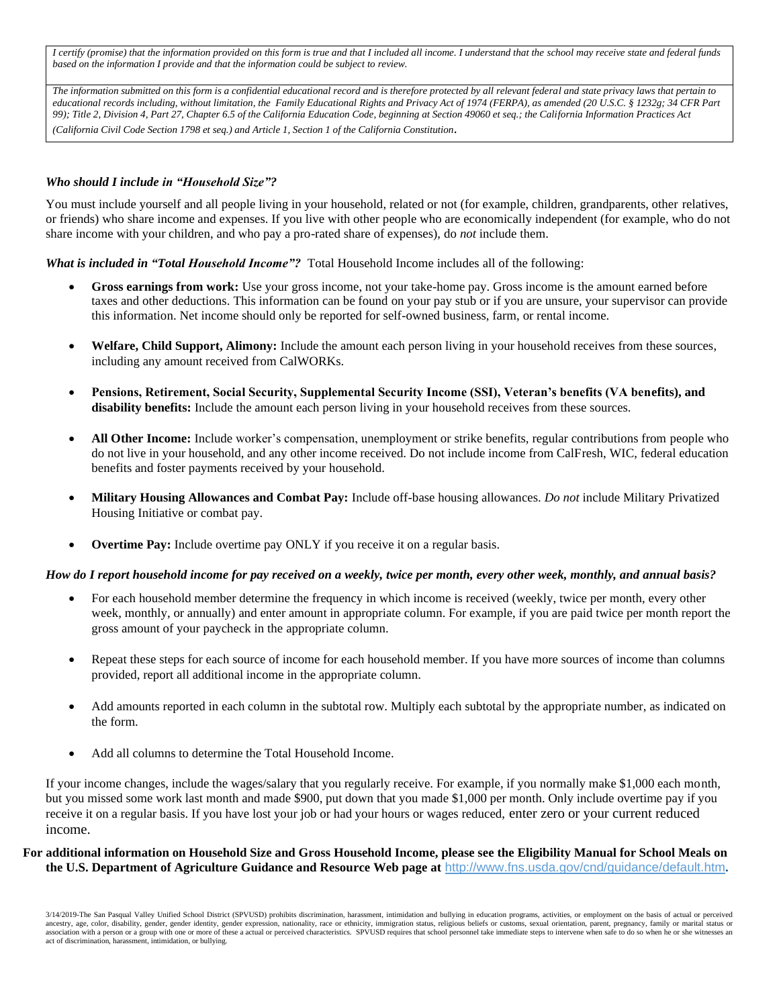*I certify (promise) that the information provided on this form is true and that I included all income. I understand that the school may receive state and federal funds based on the information I provide and that the information could be subject to review.*

*The information submitted on this form is a confidential educational record and is therefore protected by all relevant federal and state privacy laws that pertain to educational records including, without limitation, the Family Educational Rights and Privacy Act of 1974 (FERPA), as amended (20 U.S.C. § 1232g; 34 CFR Part 99); Title 2, Division 4, Part 27, Chapter 6.5 of the California Education Code, beginning at Section 49060 et seq.; the California Information Practices Act (California Civil Code Section 1798 et seq.) and Article 1, Section 1 of the California Constitution.*

#### *Who should I include in "Household Size"?*

You must include yourself and all people living in your household, related or not (for example, children, grandparents, other relatives, or friends) who share income and expenses. If you live with other people who are economically independent (for example, who do not share income with your children, and who pay a pro-rated share of expenses), do *not* include them.

*What is included in "Total Household Income"?* Total Household Income includes all of the following:

- **Gross earnings from work:** Use your gross income, not your take-home pay. Gross income is the amount earned before taxes and other deductions. This information can be found on your pay stub or if you are unsure, your supervisor can provide this information. Net income should only be reported for self-owned business, farm, or rental income.
- **Welfare, Child Support, Alimony:** Include the amount each person living in your household receives from these sources, including any amount received from CalWORKs.
- **Pensions, Retirement, Social Security, Supplemental Security Income (SSI), Veteran's benefits (VA benefits), and disability benefits:** Include the amount each person living in your household receives from these sources.
- **All Other Income:** Include worker's compensation, unemployment or strike benefits, regular contributions from people who do not live in your household, and any other income received. Do not include income from CalFresh, WIC, federal education benefits and foster payments received by your household.
- **Military Housing Allowances and Combat Pay:** Include off-base housing allowances. *Do not* include Military Privatized Housing Initiative or combat pay.
- **Overtime Pay:** Include overtime pay ONLY if you receive it on a regular basis.

#### *How do I report household income for pay received on a weekly, twice per month, every other week, monthly, and annual basis?*

- For each household member determine the frequency in which income is received (weekly, twice per month, every other week, monthly, or annually) and enter amount in appropriate column. For example, if you are paid twice per month report the gross amount of your paycheck in the appropriate column.
- Repeat these steps for each source of income for each household member. If you have more sources of income than columns provided, report all additional income in the appropriate column.
- Add amounts reported in each column in the subtotal row. Multiply each subtotal by the appropriate number, as indicated on the form.
- Add all columns to determine the Total Household Income.

If your income changes, include the wages/salary that you regularly receive. For example, if you normally make \$1,000 each month, but you missed some work last month and made \$900, put down that you made \$1,000 per month. Only include overtime pay if you receive it on a regular basis. If you have lost your job or had your hours or wages reduced, enter zero or your current reduced income.

#### **For additional information on Household Size and Gross Household Income, please see the Eligibility Manual for School Meals on the U.S. Department of Agriculture Guidance and Resource Web page at** <http://www.fns.usda.gov/cnd/guidance/default.htm>**.**

<sup>3/14/2019-</sup>The San Pasqual Valley Unified School District (SPVUSD) prohibits discrimination, harassment, intimidation and bullying in education programs, activities, or employment on the basis of actual or perceived ancestry, age, color, disability, gender, gender identity, gender expression, nationality, race or ethnicity, immigration status, religious beliefs or customs, sexual orientation, parent, pregnancy, family or marital statu association with a person or a group with one or more of these a actual or perceived characteristics. SPVUSD requires that school personnel take immediate steps to intervene when safe to do so when he or she witnesses an act of discrimination, harassment, intimidation, or bullying.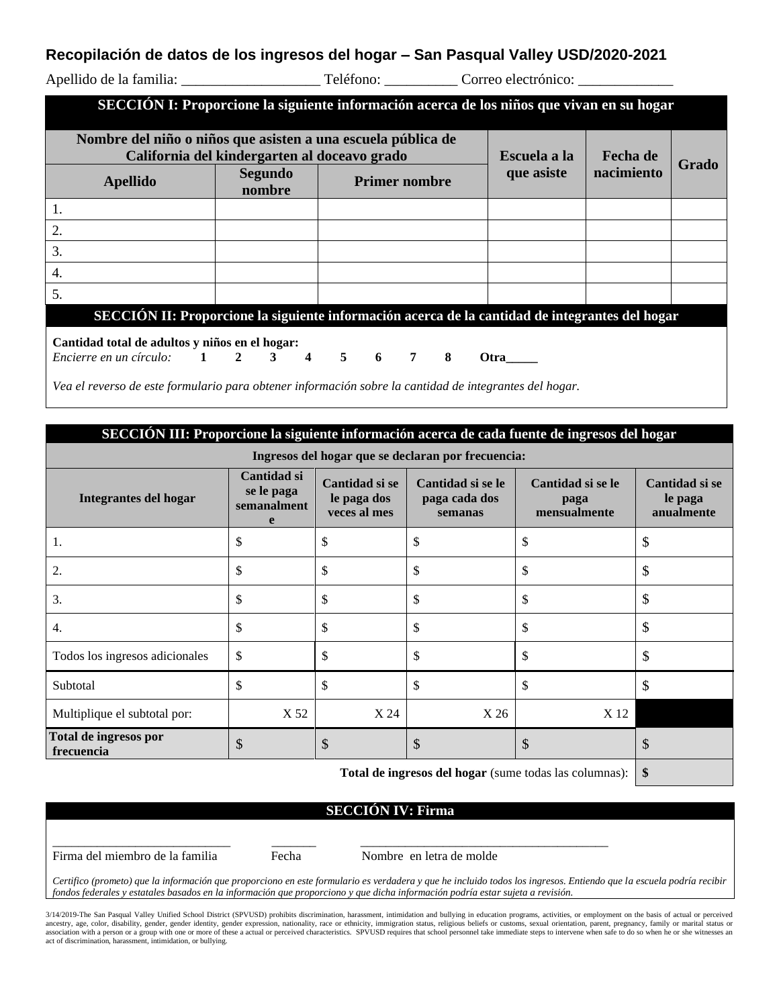### **Recopilación de datos de los ingresos del hogar – San Pasqual Valley USD/2020-2021**

|                                                                                                              |              |                   |       |                      |  |  | SECCIÓN I: Proporcione la siguiente información acerca de los niños que vivan en su hogar |            |  |  |
|--------------------------------------------------------------------------------------------------------------|--------------|-------------------|-------|----------------------|--|--|-------------------------------------------------------------------------------------------|------------|--|--|
| Nombre del niño o niños que asisten a una escuela pública de<br>California del kindergarten al doceavo grado | Escuela a la | Fecha de          | Grado |                      |  |  |                                                                                           |            |  |  |
| <b>Apellido</b>                                                                                              |              | Segundo<br>nombre |       | <b>Primer nombre</b> |  |  | que asiste                                                                                | nacimiento |  |  |
| 1.                                                                                                           |              |                   |       |                      |  |  |                                                                                           |            |  |  |
| 2.                                                                                                           |              |                   |       |                      |  |  |                                                                                           |            |  |  |
| 3.                                                                                                           |              |                   |       |                      |  |  |                                                                                           |            |  |  |
| 4.                                                                                                           |              |                   |       |                      |  |  |                                                                                           |            |  |  |
| 5.                                                                                                           |              |                   |       |                      |  |  |                                                                                           |            |  |  |
| SECCIÓN II: Proporcione la siguiente información acerca de la cantidad de integrantes del hogar              |              |                   |       |                      |  |  |                                                                                           |            |  |  |
| Cantidad total de adultos y niños en el hogar:                                                               |              |                   |       |                      |  |  |                                                                                           |            |  |  |
| <i>Encierre en un círculo:</i> 1 2 3 4 5 6 7 8 Otra                                                          |              |                   |       |                      |  |  |                                                                                           |            |  |  |

*Vea el reverso de este formulario para obtener información sobre la cantidad de integrantes del hogar.*

| SECCIÓN III: Proporcione la siguiente información acerca de cada fuente de ingresos del hogar |                                                          |                                               |                                               |                                           |                                         |  |  |  |
|-----------------------------------------------------------------------------------------------|----------------------------------------------------------|-----------------------------------------------|-----------------------------------------------|-------------------------------------------|-----------------------------------------|--|--|--|
| Ingresos del hogar que se declaran por frecuencia:                                            |                                                          |                                               |                                               |                                           |                                         |  |  |  |
| Integrantes del hogar                                                                         | Cantidad si<br>se le paga<br>semanalment<br>$\mathbf{e}$ | Cantidad si se<br>le paga dos<br>veces al mes | Cantidad si se le<br>paga cada dos<br>semanas | Cantidad si se le<br>paga<br>mensualmente | Cantidad si se<br>le paga<br>anualmente |  |  |  |
| 1.                                                                                            | \$                                                       | \$                                            | \$                                            | \$                                        | \$                                      |  |  |  |
| 2.                                                                                            | \$                                                       | \$                                            | \$                                            | \$                                        | \$                                      |  |  |  |
| 3.                                                                                            | \$                                                       | \$                                            | \$                                            | \$                                        | \$                                      |  |  |  |
| 4.                                                                                            | \$                                                       | \$                                            | \$                                            | \$                                        | \$                                      |  |  |  |
| Todos los ingresos adicionales                                                                | \$                                                       | \$                                            | \$                                            | \$                                        | \$                                      |  |  |  |
| Subtotal                                                                                      | \$                                                       | \$                                            | \$                                            | \$                                        | \$                                      |  |  |  |
| Multiplique el subtotal por:                                                                  | X 52                                                     | X 24                                          | X 26                                          | X 12                                      |                                         |  |  |  |
| Total de ingresos por<br>frecuencia                                                           | \$                                                       | \$                                            | \$                                            | \$                                        | D                                       |  |  |  |
| Total de ingresos del bogor (sumo todas las columnes):                                        |                                                          |                                               |                                               |                                           |                                         |  |  |  |

**Total de ingresos del hogar** (sume todas las columnas): **\$**

#### **SECCIÓN IV: Firma**

Firma del miembro de la familia Fecha Nombre en letra de molde

\_\_\_\_\_\_\_\_\_\_\_\_\_\_\_\_\_\_\_\_\_\_\_\_\_\_\_\_ \_\_\_\_\_\_\_ \_\_\_\_\_\_\_\_\_\_\_\_\_\_\_\_\_\_\_\_\_\_\_\_\_\_\_\_\_\_\_\_\_\_\_\_\_\_\_

*Certifico (prometo) que la información que proporciono en este formulario es verdadera y que he incluido todos los ingresos. Entiendo que la escuela podría recibir fondos federales y estatales basados en la información que proporciono y que dicha información podría estar sujeta a revisión.*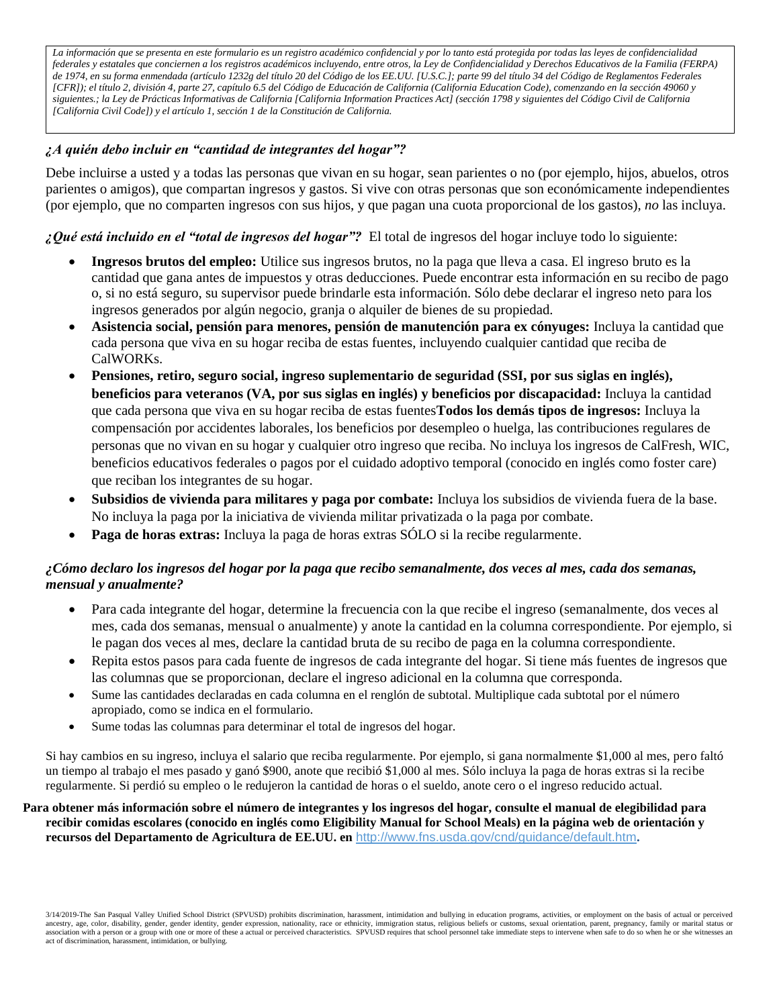*La información que se presenta en este formulario es un registro académico confidencial y por lo tanto está protegida por todas las leyes de confidencialidad federales y estatales que conciernen a los registros académicos incluyendo, entre otros, la Ley de Confidencialidad y Derechos Educativos de la Familia (FERPA) de 1974, en su forma enmendada (artículo 1232g del título 20 del Código de los EE.UU. [U.S.C.]; parte 99 del título 34 del Código de Reglamentos Federales [CFR]); el título 2, división 4, parte 27, capítulo 6.5 del Código de Educación de California (California Education Code), comenzando en la sección 49060 y siguientes.; la Ley de Prácticas Informativas de California [California Information Practices Act] (sección 1798 y siguientes del Código Civil de California [California Civil Code]) y el artículo 1, sección 1 de la Constitución de California.*

### *¿A quién debo incluir en "cantidad de integrantes del hogar"?*

Debe incluirse a usted y a todas las personas que vivan en su hogar, sean parientes o no (por ejemplo, hijos, abuelos, otros parientes o amigos), que compartan ingresos y gastos. Si vive con otras personas que son económicamente independientes (por ejemplo, que no comparten ingresos con sus hijos, y que pagan una cuota proporcional de los gastos), *no* las incluya.

*¿Qué está incluido en el "total de ingresos del hogar"?* El total de ingresos del hogar incluye todo lo siguiente:

- **Ingresos brutos del empleo:** Utilice sus ingresos brutos, no la paga que lleva a casa. El ingreso bruto es la cantidad que gana antes de impuestos y otras deducciones. Puede encontrar esta información en su recibo de pago o, si no está seguro, su supervisor puede brindarle esta información. Sólo debe declarar el ingreso neto para los ingresos generados por algún negocio, granja o alquiler de bienes de su propiedad.
- **Asistencia social, pensión para menores, pensión de manutención para ex cónyuges:** Incluya la cantidad que cada persona que viva en su hogar reciba de estas fuentes, incluyendo cualquier cantidad que reciba de CalWORKs.
- **Pensiones, retiro, seguro social, ingreso suplementario de seguridad (SSI, por sus siglas en inglés), beneficios para veteranos (VA, por sus siglas en inglés) y beneficios por discapacidad:** Incluya la cantidad que cada persona que viva en su hogar reciba de estas fuentes**Todos los demás tipos de ingresos:** Incluya la compensación por accidentes laborales, los beneficios por desempleo o huelga, las contribuciones regulares de personas que no vivan en su hogar y cualquier otro ingreso que reciba. No incluya los ingresos de CalFresh, WIC, beneficios educativos federales o pagos por el cuidado adoptivo temporal (conocido en inglés como foster care) que reciban los integrantes de su hogar.
- **Subsidios de vivienda para militares y paga por combate:** Incluya los subsidios de vivienda fuera de la base. No incluya la paga por la iniciativa de vivienda militar privatizada o la paga por combate.
- **Paga de horas extras:** Incluya la paga de horas extras SÓLO si la recibe regularmente.

### *¿Cómo declaro los ingresos del hogar por la paga que recibo semanalmente, dos veces al mes, cada dos semanas, mensual y anualmente?*

- Para cada integrante del hogar, determine la frecuencia con la que recibe el ingreso (semanalmente, dos veces al mes, cada dos semanas, mensual o anualmente) y anote la cantidad en la columna correspondiente. Por ejemplo, si le pagan dos veces al mes, declare la cantidad bruta de su recibo de paga en la columna correspondiente.
- Repita estos pasos para cada fuente de ingresos de cada integrante del hogar. Si tiene más fuentes de ingresos que las columnas que se proporcionan, declare el ingreso adicional en la columna que corresponda.
- Sume las cantidades declaradas en cada columna en el renglón de subtotal. Multiplique cada subtotal por el número apropiado, como se indica en el formulario.
- Sume todas las columnas para determinar el total de ingresos del hogar.

Si hay cambios en su ingreso, incluya el salario que reciba regularmente. Por ejemplo, si gana normalmente \$1,000 al mes, pero faltó un tiempo al trabajo el mes pasado y ganó \$900, anote que recibió \$1,000 al mes. Sólo incluya la paga de horas extras si la recibe regularmente. Si perdió su empleo o le redujeron la cantidad de horas o el sueldo, anote cero o el ingreso reducido actual.

#### **Para obtener más información sobre el número de integrantes y los ingresos del hogar, consulte el manual de elegibilidad para recibir comidas escolares (conocido en inglés como Eligibility Manual for School Meals) en la página web de orientación y recursos del Departamento de Agricultura de EE.UU. en** <http://www.fns.usda.gov/cnd/guidance/default.htm>**.**

3/14/2019-The San Pasqual Valley Unified School District (SPVUSD) prohibits discrimination, harassment, intimidation and bullying in education programs, activities, or employment on the basis of actual or perceived ancestry, age, color, disability, gender, gender identity, gender expression, nationality, race or ethnicity, immigration status, religious beliefs or customs, sexual orientation, parent, pregnancy, family or marital statu association with a person or a group with one or more of these a actual or perceived characteristics. SPVUSD requires that school personnel take immediate steps to intervene when safe to do so when he or she witnesses an act of discrimination, harassment, intimidation, or bullying.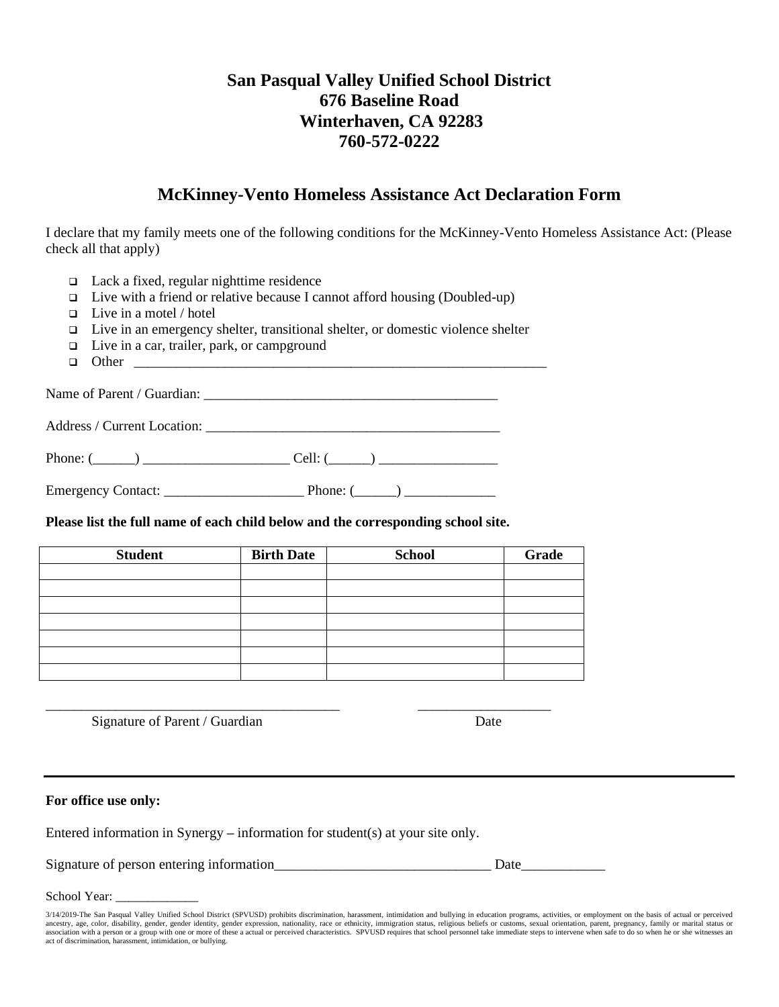### **San Pasqual Valley Unified School District 676 Baseline Road Winterhaven, CA 92283 760-572-0222**

### **McKinney-Vento Homeless Assistance Act Declaration Form**

I declare that my family meets one of the following conditions for the McKinney-Vento Homeless Assistance Act: (Please check all that apply)

- ❑ Lack a fixed, regular nighttime residence
- ❑ Live with a friend or relative because I cannot afford housing (Doubled-up)
- ❑ Live in a motel / hotel
- ❑ Live in an emergency shelter, transitional shelter, or domestic violence shelter
- ❑ Live in a car, trailer, park, or campground
- $\Box$  Other

Name of Parent / Guardian: \_\_\_\_\_\_\_\_\_\_\_\_\_\_\_\_\_\_\_\_\_\_\_\_\_\_\_\_\_\_\_\_\_\_\_\_\_\_\_\_\_\_

Address / Current Location:

Phone: (\_\_\_\_\_\_) \_\_\_\_\_\_\_\_\_\_\_\_\_\_\_\_\_\_\_\_\_ Cell: (\_\_\_\_\_\_) \_\_\_\_\_\_\_\_\_\_\_\_\_\_\_\_\_

Emergency Contact: \_\_\_\_\_\_\_\_\_\_\_\_\_\_\_\_\_\_\_\_ Phone: (\_\_\_\_\_\_) \_\_\_\_\_\_\_\_\_\_\_\_\_

**Please list the full name of each child below and the corresponding school site.**

| <b>Student</b> | <b>Birth Date</b> | <b>School</b> | <b>Grade</b> |
|----------------|-------------------|---------------|--------------|
|                |                   |               |              |
|                |                   |               |              |
|                |                   |               |              |
|                |                   |               |              |
|                |                   |               |              |
|                |                   |               |              |
|                |                   |               |              |

\_\_\_\_\_\_\_\_\_\_\_\_\_\_\_\_\_\_\_\_\_\_\_\_\_\_\_\_\_\_\_\_\_\_\_\_\_\_\_\_\_\_ \_\_\_\_\_\_\_\_\_\_\_\_\_\_\_\_\_\_\_

Signature of Parent / Guardian Date

#### **For office use only:**

Entered information in Synergy **–** information for student(s) at your site only.

Signature of person entering information\_\_\_\_\_\_\_\_\_\_\_\_\_\_\_\_\_\_\_\_\_\_\_\_\_\_\_\_\_\_\_ Date\_\_\_\_\_\_\_\_\_\_\_\_

School Year:

<sup>3/14/2019-</sup>The San Pasqual Valley Unified School District (SPVUSD) prohibits discrimination, harassment, intimidation and bullying in education programs, activities, or employment on the basis of actual or perceived<br>ancestr association with a person or a group with one or more of these a actual or perceived characteristics. SPVUSD requires that school personnel take immediate steps to intervene when safe to do so when he or she witnesses an act of discrimination, harassment, intimidation, or bullying.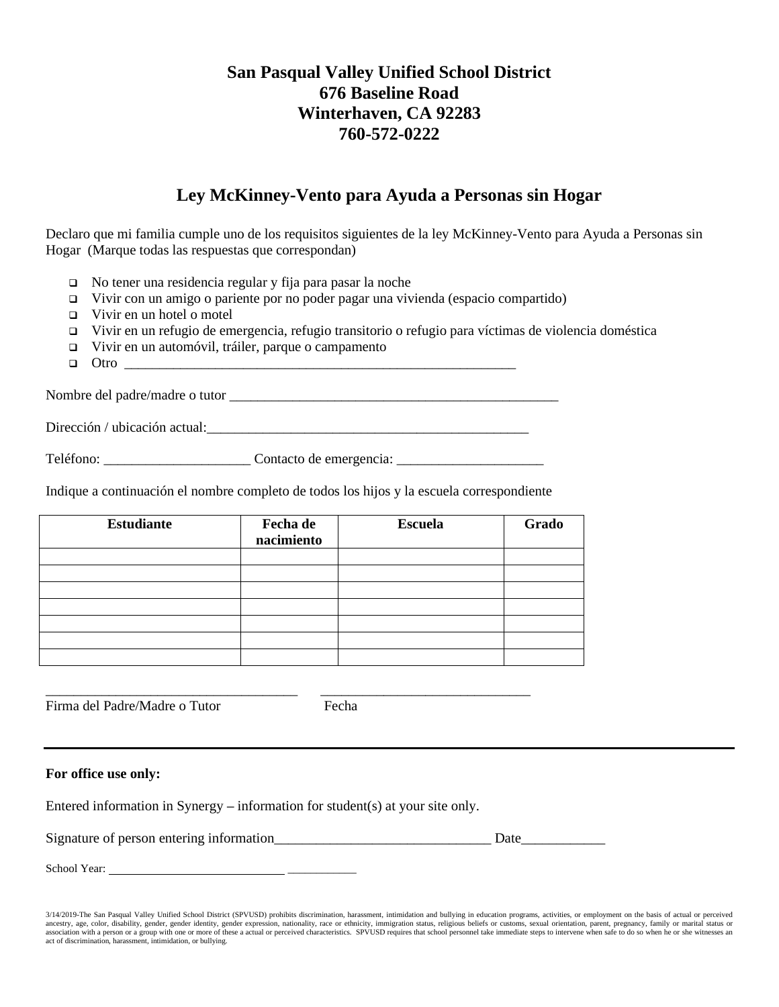### **San Pasqual Valley Unified School District 676 Baseline Road Winterhaven, CA 92283 760-572-0222**

### **Ley McKinney-Vento para Ayuda a Personas sin Hogar**

Declaro que mi familia cumple uno de los requisitos siguientes de la ley McKinney-Vento para Ayuda a Personas sin Hogar (Marque todas las respuestas que correspondan)

- ❑ No tener una residencia regular y fija para pasar la noche
- ❑ Vivir con un amigo o pariente por no poder pagar una vivienda (espacio compartido)
- ❑ Vivir en un hotel o motel
- ❑ Vivir en un refugio de emergencia, refugio transitorio o refugio para víctimas de violencia doméstica
- ❑ Vivir en un automóvil, tráiler, parque o campamento
- $\Box$  Otro

Nombre del padre/madre o tutor

Dirección / ubicación actual:

Teléfono: \_\_\_\_\_\_\_\_\_\_\_\_\_\_\_\_\_\_\_\_\_ Contacto de emergencia: \_\_\_\_\_\_\_\_\_\_\_\_\_\_\_\_\_\_\_\_\_

Indique a continuación el nombre completo de todos los hijos y la escuela correspondiente

| <b>Estudiante</b> | Fecha de<br>nacimiento | <b>Escuela</b> | Grado |
|-------------------|------------------------|----------------|-------|
|                   |                        |                |       |
|                   |                        |                |       |
|                   |                        |                |       |
|                   |                        |                |       |
|                   |                        |                |       |
|                   |                        |                |       |
|                   |                        |                |       |

\_\_\_\_\_\_\_\_\_\_\_\_\_\_\_\_\_\_\_\_\_\_\_\_\_\_\_\_\_\_\_\_\_\_\_\_ \_\_\_\_\_\_\_\_\_\_\_\_\_\_\_\_\_\_\_\_\_\_\_\_\_\_\_\_\_\_

Firma del Padre/Madre o Tutor Fecha

#### **For office use only:**

Entered information in Synergy **–** information for student(s) at your site only.

Signature of person entering information\_\_\_\_\_\_\_\_\_\_\_\_\_\_\_\_\_\_\_\_\_\_\_\_\_\_\_\_\_\_\_ Date\_\_\_\_\_\_\_\_\_\_\_\_

School Year:

<sup>3/14/2019-</sup>The San Pasqual Valley Unified School District (SPVUSD) prohibits discrimination, harassment, intimidation and bullying in education programs, activities, or employment on the basis of actual or perceived<br>ancestr association with a person or a group with one or more of these a actual or perceived characteristics. SPVUSD requires that school personnel take immediate steps to intervene when safe to do so when he or she witnesses an act of discrimination, harassment, intimidation, or bullying.